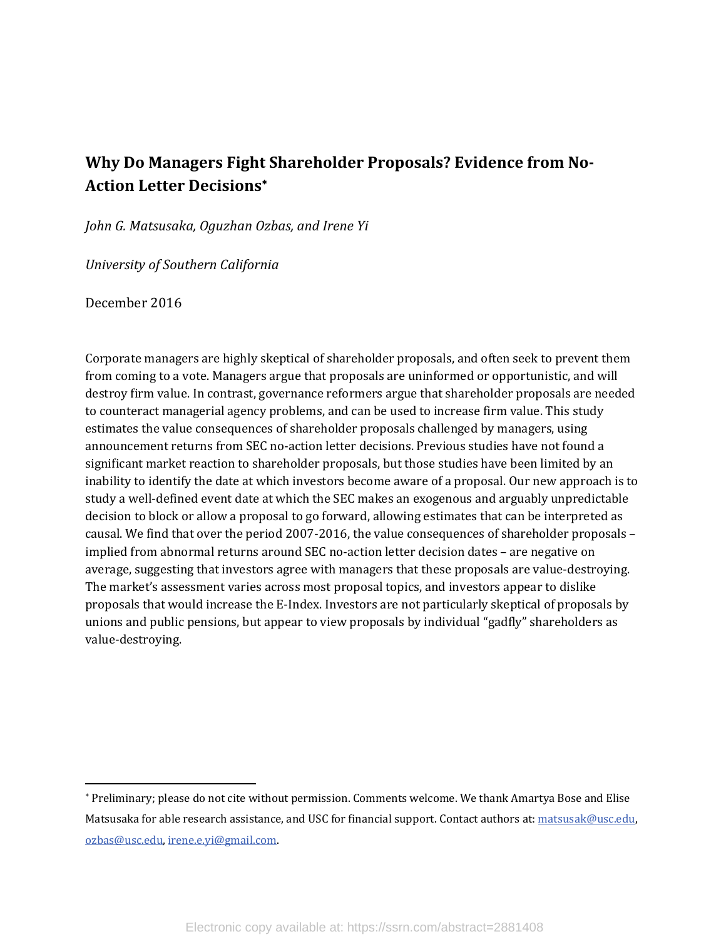## **Why Do Managers Fight Shareholder Proposals? Evidence from No‐ Action Letter Decisions**

*John G. Matsusaka, Oguzhan Ozbas, and Irene Yi*

*University of Southern California*

December 2016

Corporate managers are highly skeptical of shareholder proposals, and often seek to prevent them from coming to a vote. Managers argue that proposals are uninformed or opportunistic, and will destroy firm value. In contrast, governance reformers argue that shareholder proposals are needed to counteract managerial agency problems, and can be used to increase firm value. This study estimates the value consequences of shareholder proposals challenged by managers, using announcement returns from SEC no-action letter decisions. Previous studies have not found a significant market reaction to shareholder proposals, but those studies have been limited by an inability to identify the date at which investors become aware of a proposal. Our new approach is to study a well-defined event date at which the SEC makes an exogenous and arguably unpredictable decision to block or allow a proposal to go forward, allowing estimates that can be interpreted as causal. We find that over the period 2007-2016, the value consequences of shareholder proposals – implied from abnormal returns around SEC no-action letter decision dates - are negative on average, suggesting that investors agree with managers that these proposals are value-destroying. The market's assessment varies across most proposal topics, and investors appear to dislike proposals that would increase the E-Index. Investors are not particularly skeptical of proposals by unions and public pensions, but appear to view proposals by individual "gadfly" shareholders as value‐destroying. 

<sup>\*</sup> Preliminary; please do not cite without permission. Comments welcome. We thank Amartya Bose and Elise Matsusaka for able research assistance, and USC for financial support. Contact authors at: matsusak@usc.edu, ozbas@usc.edu, irene.e.yi@gmail.com.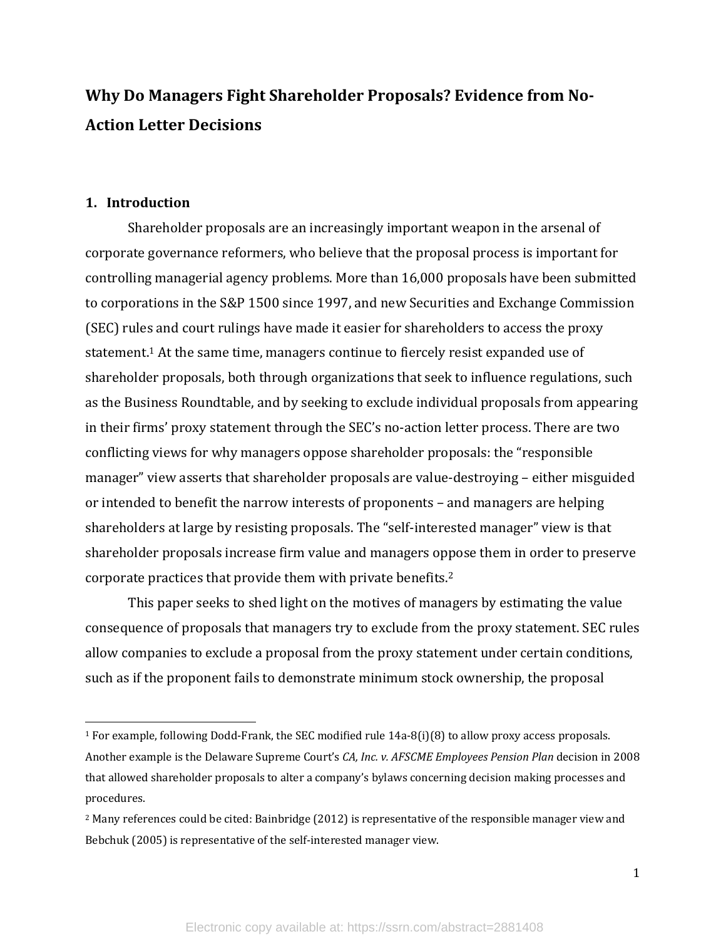# **Why Do Managers Fight Shareholder Proposals? Evidence from No‐ Action Letter Decisions**

## **1. Introduction**

Shareholder proposals are an increasingly important weapon in the arsenal of corporate governance reformers, who believe that the proposal process is important for controlling managerial agency problems. More than 16,000 proposals have been submitted to corporations in the S&P 1500 since 1997, and new Securities and Exchange Commission (SEC) rules and court rulings have made it easier for shareholders to access the proxy statement.<sup>1</sup> At the same time, managers continue to fiercely resist expanded use of shareholder proposals, both through organizations that seek to influence regulations, such as the Business Roundtable, and by seeking to exclude individual proposals from appearing in their firms' proxy statement through the SEC's no-action letter process. There are two conflicting views for why managers oppose shareholder proposals: the "responsible manager" view asserts that shareholder proposals are value-destroying – either misguided or intended to benefit the narrow interests of proponents – and managers are helping shareholders at large by resisting proposals. The "self-interested manager" view is that shareholder proposals increase firm value and managers oppose them in order to preserve corporate practices that provide them with private benefits.<sup>2</sup>

This paper seeks to shed light on the motives of managers by estimating the value consequence of proposals that managers try to exclude from the proxy statement. SEC rules allow companies to exclude a proposal from the proxy statement under certain conditions, such as if the proponent fails to demonstrate minimum stock ownership, the proposal

<sup>&</sup>lt;sup>1</sup> For example, following Dodd-Frank, the SEC modified rule  $14a-8(i)(8)$  to allow proxy access proposals. Another example is the Delaware Supreme Court's *CA, Inc. v. AFSCME Employees Pension Plan* decision in 2008 that allowed shareholder proposals to alter a company's bylaws concerning decision making processes and procedures. 

 $2$  Many references could be cited: Bainbridge  $(2012)$  is representative of the responsible manager view and Bebchuk (2005) is representative of the self-interested manager view.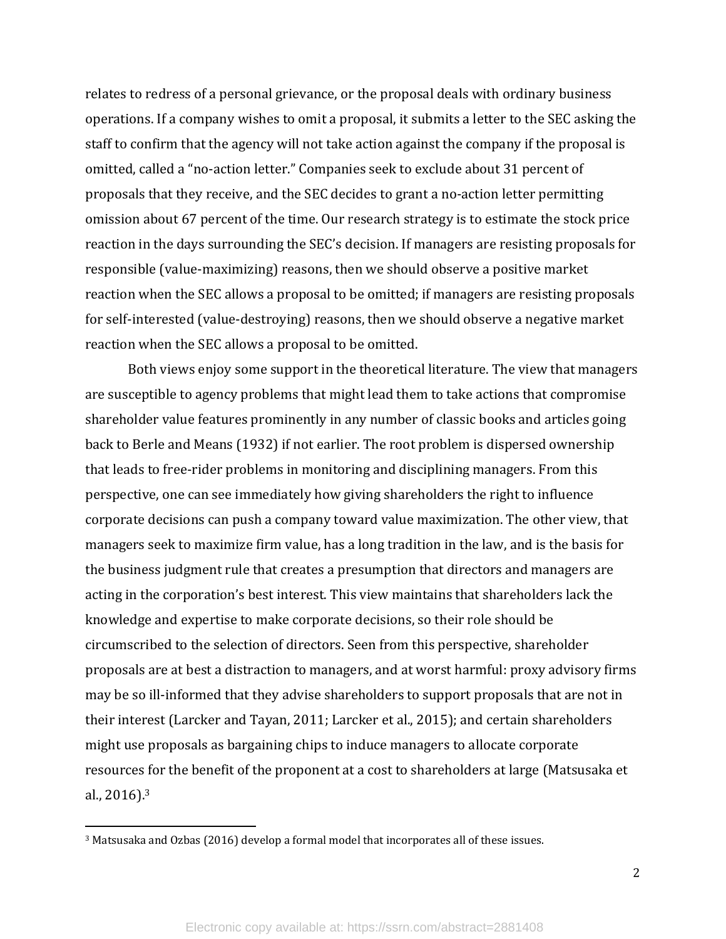relates to redress of a personal grievance, or the proposal deals with ordinary business operations. If a company wishes to omit a proposal, it submits a letter to the SEC asking the staff to confirm that the agency will not take action against the company if the proposal is omitted, called a "no-action letter." Companies seek to exclude about 31 percent of proposals that they receive, and the SEC decides to grant a no-action letter permitting omission about 67 percent of the time. Our research strategy is to estimate the stock price reaction in the days surrounding the SEC's decision. If managers are resisting proposals for responsible (value-maximizing) reasons, then we should observe a positive market reaction when the SEC allows a proposal to be omitted; if managers are resisting proposals for self-interested (value-destroying) reasons, then we should observe a negative market reaction when the SEC allows a proposal to be omitted.

Both views enjoy some support in the theoretical literature. The view that managers are susceptible to agency problems that might lead them to take actions that compromise shareholder value features prominently in any number of classic books and articles going back to Berle and Means (1932) if not earlier. The root problem is dispersed ownership that leads to free-rider problems in monitoring and disciplining managers. From this perspective, one can see immediately how giving shareholders the right to influence corporate decisions can push a company toward value maximization. The other view, that managers seek to maximize firm value, has a long tradition in the law, and is the basis for the business judgment rule that creates a presumption that directors and managers are acting in the corporation's best interest. This view maintains that shareholders lack the knowledge and expertise to make corporate decisions, so their role should be circumscribed to the selection of directors. Seen from this perspective, shareholder proposals are at best a distraction to managers, and at worst harmful: proxy advisory firms may be so ill-informed that they advise shareholders to support proposals that are not in their interest (Larcker and Tayan, 2011; Larcker et al., 2015); and certain shareholders might use proposals as bargaining chips to induce managers to allocate corporate resources for the benefit of the proponent at a cost to shareholders at large (Matsusaka et al.,  $2016$ ).<sup>3</sup>

<sup>&</sup>lt;sup>3</sup> Matsusaka and Ozbas (2016) develop a formal model that incorporates all of these issues.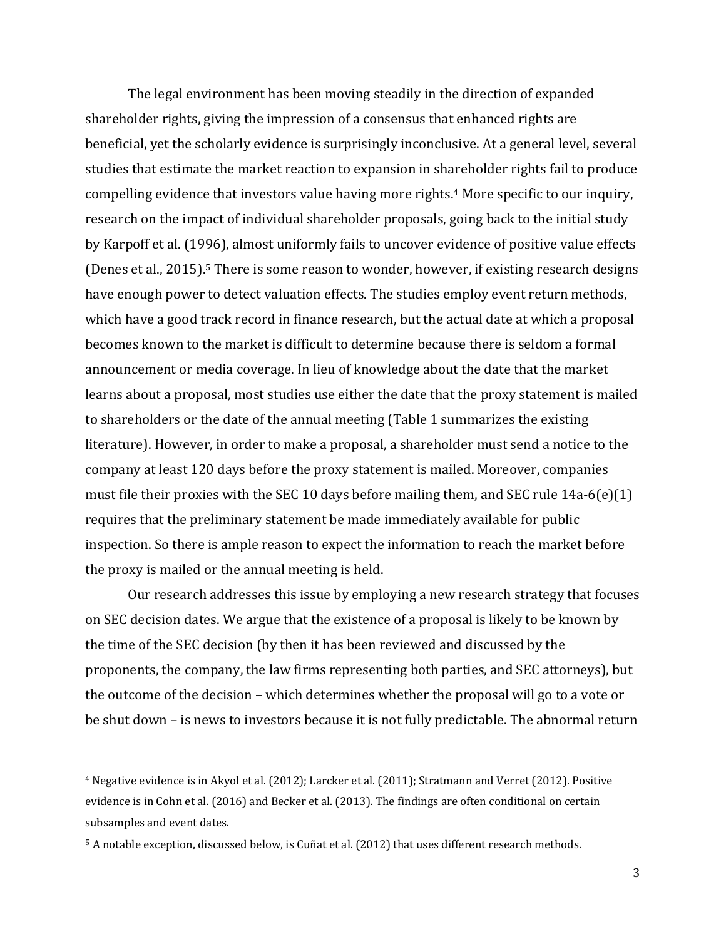The legal environment has been moving steadily in the direction of expanded shareholder rights, giving the impression of a consensus that enhanced rights are beneficial, yet the scholarly evidence is surprisingly inconclusive. At a general level, several studies that estimate the market reaction to expansion in shareholder rights fail to produce compelling evidence that investors value having more rights.<sup>4</sup> More specific to our inquiry, research on the impact of individual shareholder proposals, going back to the initial study by Karpoff et al. (1996), almost uniformly fails to uncover evidence of positive value effects (Denes et al., 2015).<sup>5</sup> There is some reason to wonder, however, if existing research designs have enough power to detect valuation effects. The studies employ event return methods, which have a good track record in finance research, but the actual date at which a proposal becomes known to the market is difficult to determine because there is seldom a formal announcement or media coverage. In lieu of knowledge about the date that the market learns about a proposal, most studies use either the date that the proxy statement is mailed to shareholders or the date of the annual meeting (Table 1 summarizes the existing literature). However, in order to make a proposal, a shareholder must send a notice to the company at least 120 days before the proxy statement is mailed. Moreover, companies must file their proxies with the SEC 10 days before mailing them, and SEC rule  $14a-6(e)(1)$ requires that the preliminary statement be made immediately available for public inspection. So there is ample reason to expect the information to reach the market before the proxy is mailed or the annual meeting is held.

Our research addresses this issue by employing a new research strategy that focuses on SEC decision dates. We argue that the existence of a proposal is likely to be known by the time of the SEC decision (by then it has been reviewed and discussed by the proponents, the company, the law firms representing both parties, and SEC attorneys), but the outcome of the decision – which determines whether the proposal will go to a vote or be shut down – is news to investors because it is not fully predictable. The abnormal return

<sup>&</sup>lt;sup>4</sup> Negative evidence is in Akyol et al. (2012); Larcker et al. (2011); Stratmann and Verret (2012). Positive evidence is in Cohn et al. (2016) and Becker et al. (2013). The findings are often conditional on certain subsamples and event dates.

<sup>&</sup>lt;sup>5</sup> A notable exception, discussed below, is Cuñat et al. (2012) that uses different research methods.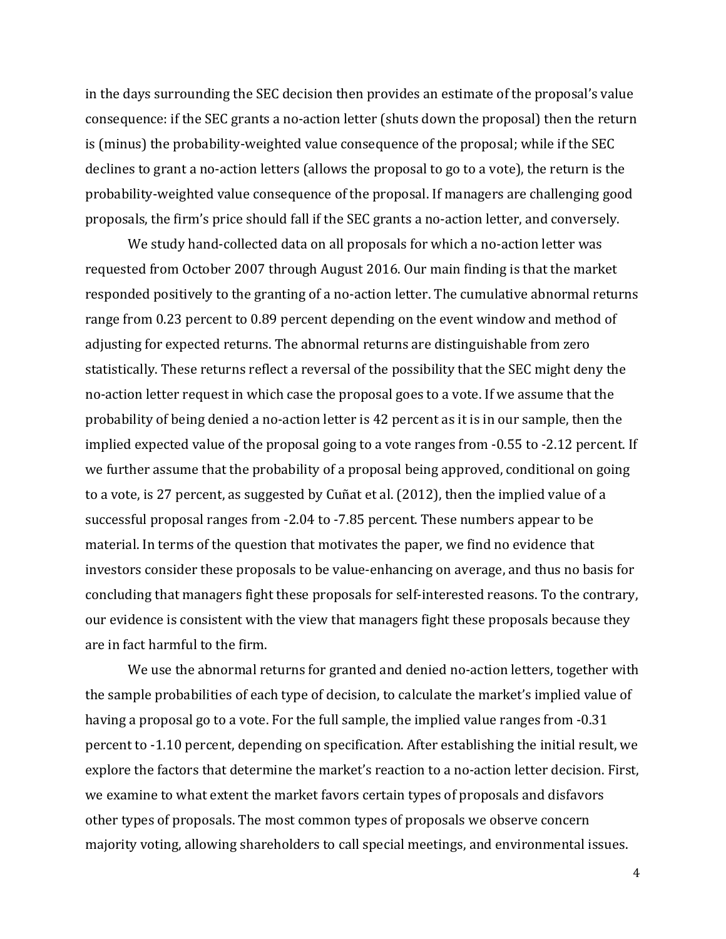in the days surrounding the SEC decision then provides an estimate of the proposal's value consequence: if the SEC grants a no-action letter (shuts down the proposal) then the return is (minus) the probability-weighted value consequence of the proposal; while if the SEC declines to grant a no-action letters (allows the proposal to go to a vote), the return is the probability-weighted value consequence of the proposal. If managers are challenging good proposals, the firm's price should fall if the SEC grants a no-action letter, and conversely.

We study hand-collected data on all proposals for which a no-action letter was requested from October 2007 through August 2016. Our main finding is that the market responded positively to the granting of a no-action letter. The cumulative abnormal returns range from 0.23 percent to 0.89 percent depending on the event window and method of adjusting for expected returns. The abnormal returns are distinguishable from zero statistically. These returns reflect a reversal of the possibility that the SEC might deny the no-action letter request in which case the proposal goes to a vote. If we assume that the probability of being denied a no-action letter is  $42$  percent as it is in our sample, then the implied expected value of the proposal going to a vote ranges from  $-0.55$  to  $-2.12$  percent. If we further assume that the probability of a proposal being approved, conditional on going to a vote, is 27 percent, as suggested by Cuñat et al.  $(2012)$ , then the implied value of a successful proposal ranges from  $-2.04$  to  $-7.85$  percent. These numbers appear to be material. In terms of the question that motivates the paper, we find no evidence that investors consider these proposals to be value-enhancing on average, and thus no basis for concluding that managers fight these proposals for self-interested reasons. To the contrary, our evidence is consistent with the view that managers fight these proposals because they are in fact harmful to the firm.

We use the abnormal returns for granted and denied no-action letters, together with the sample probabilities of each type of decision, to calculate the market's implied value of having a proposal go to a vote. For the full sample, the implied value ranges from -0.31 percent to -1.10 percent, depending on specification. After establishing the initial result, we explore the factors that determine the market's reaction to a no-action letter decision. First, we examine to what extent the market favors certain types of proposals and disfavors other types of proposals. The most common types of proposals we observe concern majority voting, allowing shareholders to call special meetings, and environmental issues.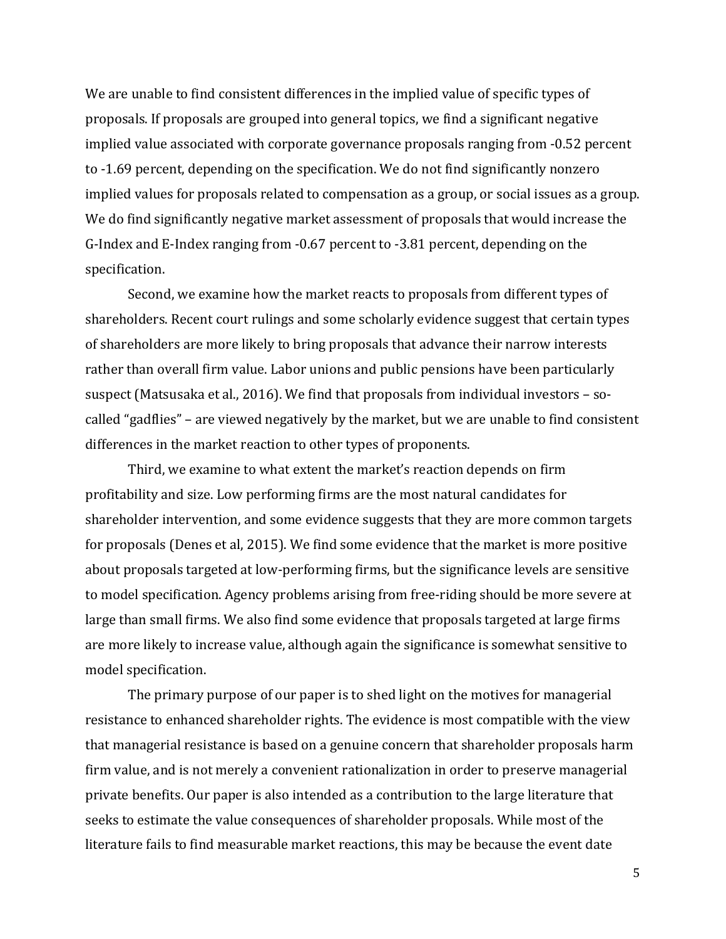We are unable to find consistent differences in the implied value of specific types of proposals. If proposals are grouped into general topics, we find a significant negative implied value associated with corporate governance proposals ranging from -0.52 percent to -1.69 percent, depending on the specification. We do not find significantly nonzero implied values for proposals related to compensation as a group, or social issues as a group. We do find significantly negative market assessment of proposals that would increase the G-Index and E-Index ranging from -0.67 percent to -3.81 percent, depending on the specification. 

Second, we examine how the market reacts to proposals from different types of shareholders. Recent court rulings and some scholarly evidence suggest that certain types of shareholders are more likely to bring proposals that advance their narrow interests rather than overall firm value. Labor unions and public pensions have been particularly suspect (Matsusaka et al., 2016). We find that proposals from individual investors  $-$  socalled "gadflies" – are viewed negatively by the market, but we are unable to find consistent differences in the market reaction to other types of proponents.

Third, we examine to what extent the market's reaction depends on firm profitability and size. Low performing firms are the most natural candidates for shareholder intervention, and some evidence suggests that they are more common targets for proposals (Denes et al, 2015). We find some evidence that the market is more positive about proposals targeted at low-performing firms, but the significance levels are sensitive to model specification. Agency problems arising from free-riding should be more severe at large than small firms. We also find some evidence that proposals targeted at large firms are more likely to increase value, although again the significance is somewhat sensitive to model specification. 

The primary purpose of our paper is to shed light on the motives for managerial resistance to enhanced shareholder rights. The evidence is most compatible with the view that managerial resistance is based on a genuine concern that shareholder proposals harm firm value, and is not merely a convenient rationalization in order to preserve managerial private benefits. Our paper is also intended as a contribution to the large literature that seeks to estimate the value consequences of shareholder proposals. While most of the literature fails to find measurable market reactions, this may be because the event date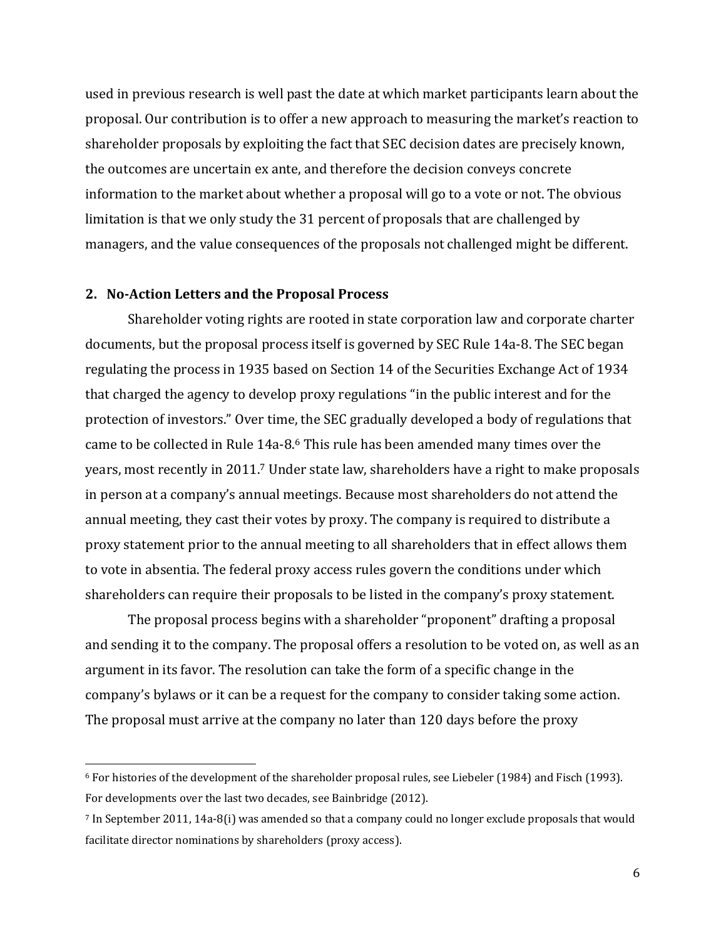used in previous research is well past the date at which market participants learn about the proposal. Our contribution is to offer a new approach to measuring the market's reaction to shareholder proposals by exploiting the fact that SEC decision dates are precisely known, the outcomes are uncertain ex ante, and therefore the decision conveys concrete information to the market about whether a proposal will go to a vote or not. The obvious limitation is that we only study the 31 percent of proposals that are challenged by managers, and the value consequences of the proposals not challenged might be different.

#### **2. No‐Action Letters and the Proposal Process**

Shareholder voting rights are rooted in state corporation law and corporate charter documents, but the proposal process itself is governed by SEC Rule 14a-8. The SEC began regulating the process in 1935 based on Section 14 of the Securities Exchange Act of 1934 that charged the agency to develop proxy regulations "in the public interest and for the protection of investors." Over time, the SEC gradually developed a body of regulations that came to be collected in Rule 14a-8.<sup>6</sup> This rule has been amended many times over the years, most recently in 2011.<sup>7</sup> Under state law, shareholders have a right to make proposals in person at a company's annual meetings. Because most shareholders do not attend the annual meeting, they cast their votes by proxy. The company is required to distribute a proxy statement prior to the annual meeting to all shareholders that in effect allows them to vote in absentia. The federal proxy access rules govern the conditions under which shareholders can require their proposals to be listed in the company's proxy statement.

The proposal process begins with a shareholder "proponent" drafting a proposal and sending it to the company. The proposal offers a resolution to be voted on, as well as an argument in its favor. The resolution can take the form of a specific change in the company's bylaws or it can be a request for the company to consider taking some action. The proposal must arrive at the company no later than 120 days before the proxy

 $6$  For histories of the development of the shareholder proposal rules, see Liebeler (1984) and Fisch (1993). For developments over the last two decades, see Bainbridge (2012).

 $\frac{7}{10}$  In September 2011, 14a-8(i) was amended so that a company could no longer exclude proposals that would facilitate director nominations by shareholders (proxy access).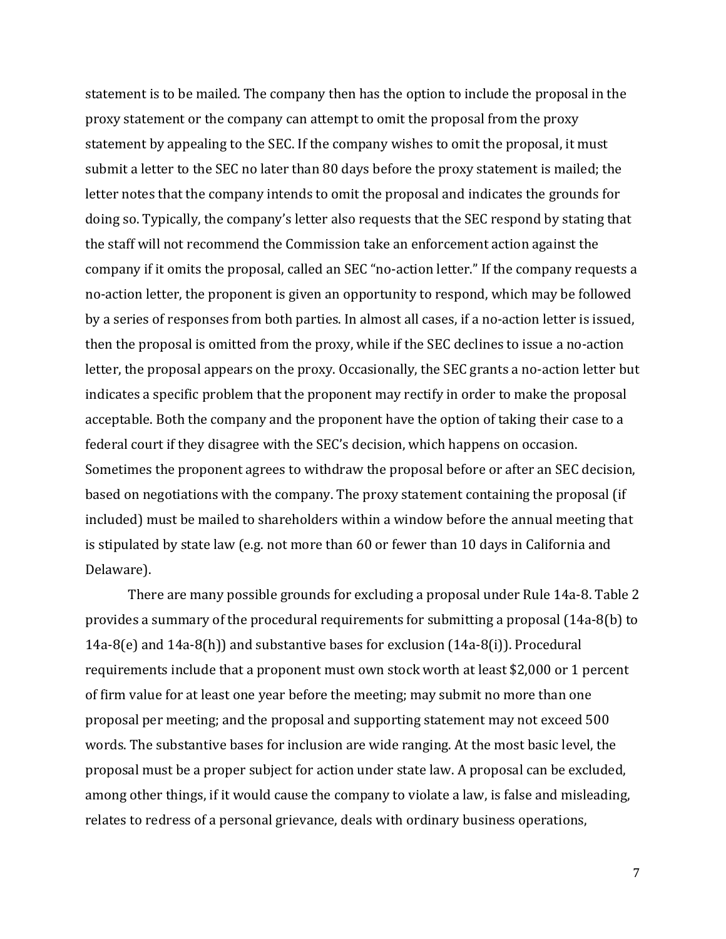statement is to be mailed. The company then has the option to include the proposal in the proxy statement or the company can attempt to omit the proposal from the proxy statement by appealing to the SEC. If the company wishes to omit the proposal, it must submit a letter to the SEC no later than 80 days before the proxy statement is mailed; the letter notes that the company intends to omit the proposal and indicates the grounds for doing so. Typically, the company's letter also requests that the SEC respond by stating that the staff will not recommend the Commission take an enforcement action against the company if it omits the proposal, called an SEC "no-action letter." If the company requests a no-action letter, the proponent is given an opportunity to respond, which may be followed by a series of responses from both parties. In almost all cases, if a no-action letter is issued, then the proposal is omitted from the proxy, while if the SEC declines to issue a no-action letter, the proposal appears on the proxy. Occasionally, the SEC grants a no-action letter but indicates a specific problem that the proponent may rectify in order to make the proposal acceptable. Both the company and the proponent have the option of taking their case to a federal court if they disagree with the SEC's decision, which happens on occasion. Sometimes the proponent agrees to withdraw the proposal before or after an SEC decision, based on negotiations with the company. The proxy statement containing the proposal (if included) must be mailed to shareholders within a window before the annual meeting that is stipulated by state law (e.g. not more than 60 or fewer than 10 days in California and Delaware). 

There are many possible grounds for excluding a proposal under Rule 14a-8. Table 2 provides a summary of the procedural requirements for submitting a proposal (14a-8(b) to 14a-8(e) and  $14a-8(h)$  and substantive bases for exclusion  $(14a-8(i))$ . Procedural requirements include that a proponent must own stock worth at least \$2,000 or 1 percent of firm value for at least one year before the meeting; may submit no more than one proposal per meeting; and the proposal and supporting statement may not exceed 500 words. The substantive bases for inclusion are wide ranging. At the most basic level, the proposal must be a proper subject for action under state law. A proposal can be excluded, among other things, if it would cause the company to violate a law, is false and misleading, relates to redress of a personal grievance, deals with ordinary business operations,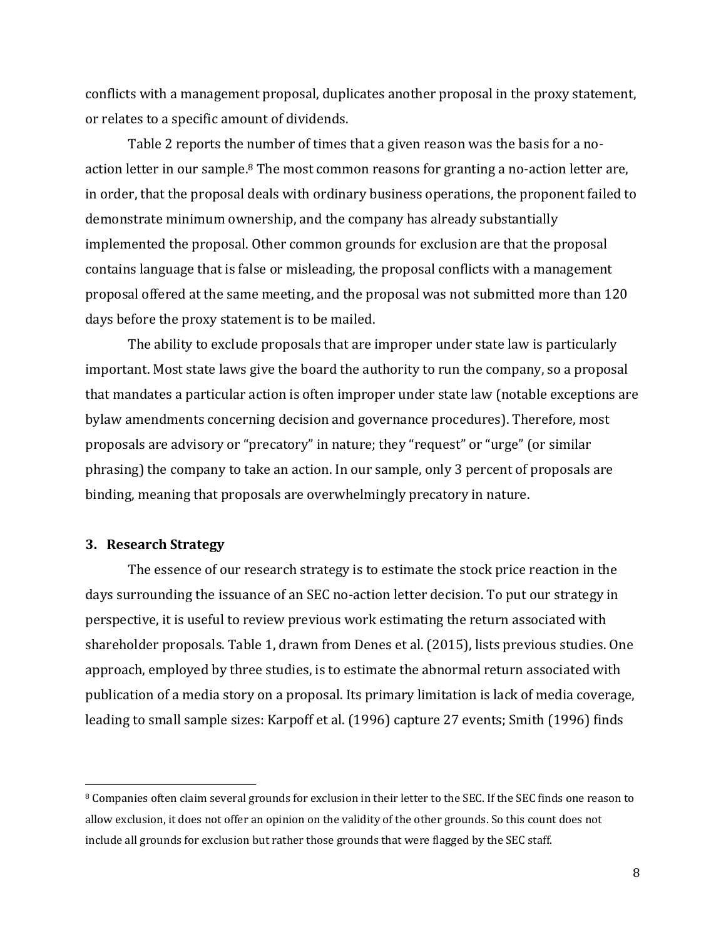conflicts with a management proposal, duplicates another proposal in the proxy statement, or relates to a specific amount of dividends.

Table 2 reports the number of times that a given reason was the basis for a noaction letter in our sample.<sup>8</sup> The most common reasons for granting a no-action letter are, in order, that the proposal deals with ordinary business operations, the proponent failed to demonstrate minimum ownership, and the company has already substantially implemented the proposal. Other common grounds for exclusion are that the proposal contains language that is false or misleading, the proposal conflicts with a management proposal offered at the same meeting, and the proposal was not submitted more than 120 days before the proxy statement is to be mailed.

The ability to exclude proposals that are improper under state law is particularly important. Most state laws give the board the authority to run the company, so a proposal that mandates a particular action is often improper under state law (notable exceptions are bylaw amendments concerning decision and governance procedures). Therefore, most proposals are advisory or "precatory" in nature; they "request" or "urge" (or similar phrasing) the company to take an action. In our sample, only 3 percent of proposals are binding, meaning that proposals are overwhelmingly precatory in nature.

#### **3. Research Strategy**

The essence of our research strategy is to estimate the stock price reaction in the days surrounding the issuance of an SEC no-action letter decision. To put our strategy in perspective, it is useful to review previous work estimating the return associated with shareholder proposals. Table 1, drawn from Denes et al. (2015), lists previous studies. One approach, employed by three studies, is to estimate the abnormal return associated with publication of a media story on a proposal. Its primary limitation is lack of media coverage, leading to small sample sizes: Karpoff et al. (1996) capture 27 events; Smith (1996) finds

<sup>&</sup>lt;sup>8</sup> Companies often claim several grounds for exclusion in their letter to the SEC. If the SEC finds one reason to allow exclusion, it does not offer an opinion on the validity of the other grounds. So this count does not include all grounds for exclusion but rather those grounds that were flagged by the SEC staff.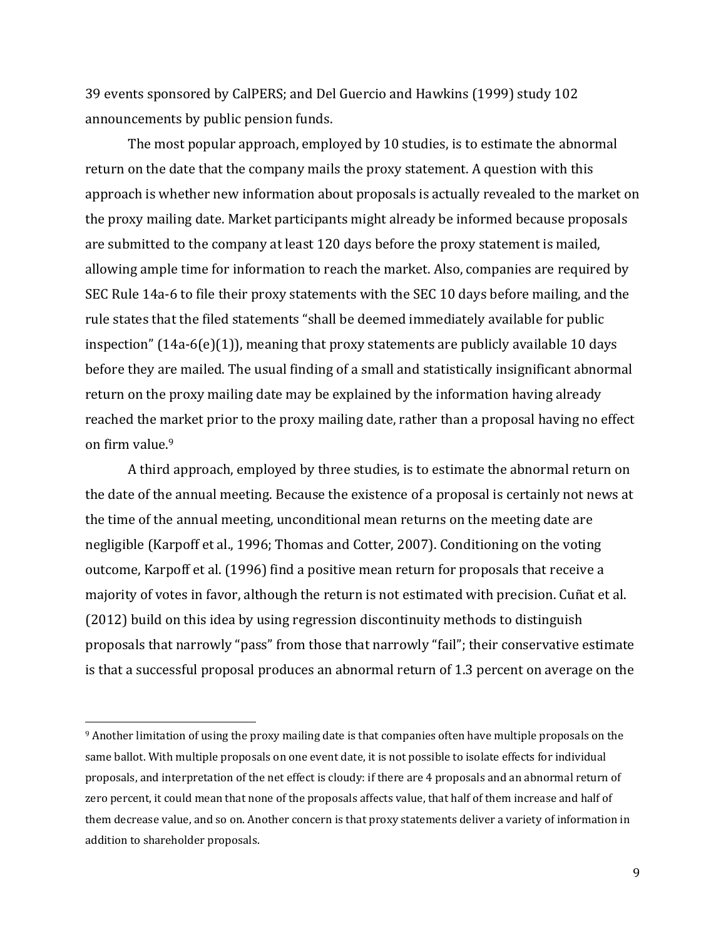39 events sponsored by CalPERS; and Del Guercio and Hawkins (1999) study 102 announcements by public pension funds.

The most popular approach, employed by 10 studies, is to estimate the abnormal return on the date that the company mails the proxy statement. A question with this approach is whether new information about proposals is actually revealed to the market on the proxy mailing date. Market participants might already be informed because proposals are submitted to the company at least 120 days before the proxy statement is mailed, allowing ample time for information to reach the market. Also, companies are required by SEC Rule 14a-6 to file their proxy statements with the SEC 10 days before mailing, and the rule states that the filed statements "shall be deemed immediately available for public inspection"  $(14a-6(e)(1))$ , meaning that proxy statements are publicly available 10 days before they are mailed. The usual finding of a small and statistically insignificant abnormal return on the proxy mailing date may be explained by the information having already reached the market prior to the proxy mailing date, rather than a proposal having no effect on firm value.<sup>9</sup>

A third approach, employed by three studies, is to estimate the abnormal return on the date of the annual meeting. Because the existence of a proposal is certainly not news at the time of the annual meeting, unconditional mean returns on the meeting date are negligible (Karpoff et al., 1996; Thomas and Cotter, 2007). Conditioning on the voting outcome, Karpoff et al. (1996) find a positive mean return for proposals that receive a majority of votes in favor, although the return is not estimated with precision. Cuñat et al. (2012) build on this idea by using regression discontinuity methods to distinguish proposals that narrowly "pass" from those that narrowly "fail"; their conservative estimate is that a successful proposal produces an abnormal return of 1.3 percent on average on the

<sup>&</sup>lt;sup>9</sup> Another limitation of using the proxy mailing date is that companies often have multiple proposals on the same ballot. With multiple proposals on one event date, it is not possible to isolate effects for individual proposals, and interpretation of the net effect is cloudy: if there are 4 proposals and an abnormal return of zero percent, it could mean that none of the proposals affects value, that half of them increase and half of them decrease value, and so on. Another concern is that proxy statements deliver a variety of information in addition to shareholder proposals.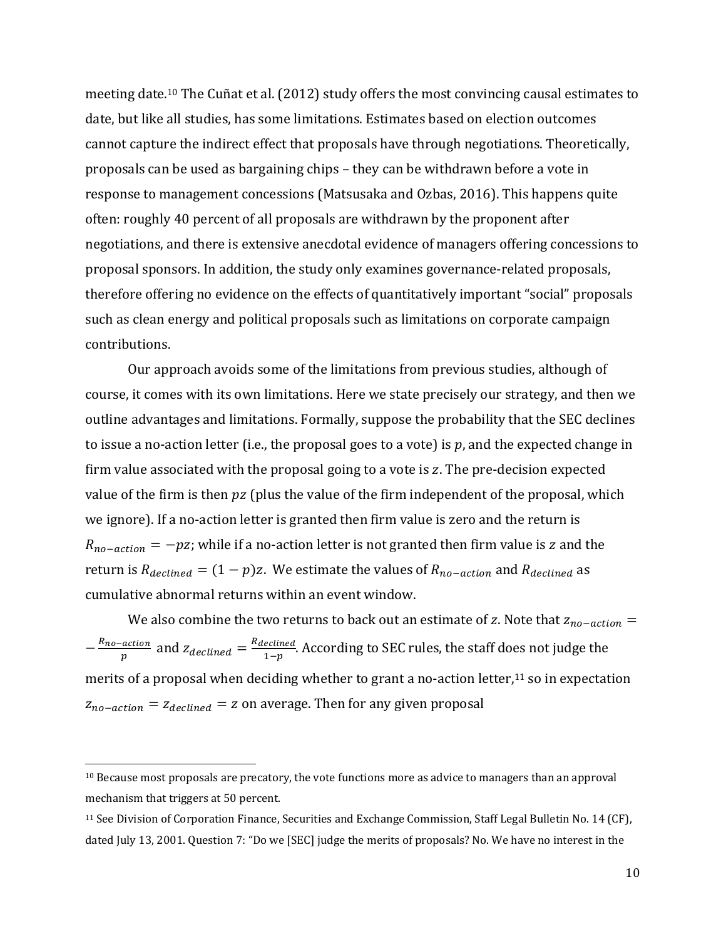meeting date.<sup>10</sup> The Cuñat et al. (2012) study offers the most convincing causal estimates to date, but like all studies, has some limitations. Estimates based on election outcomes cannot capture the indirect effect that proposals have through negotiations. Theoretically, proposals can be used as bargaining chips - they can be withdrawn before a vote in response to management concessions (Matsusaka and Ozbas, 2016). This happens quite often: roughly 40 percent of all proposals are withdrawn by the proponent after negotiations, and there is extensive anecdotal evidence of managers offering concessions to proposal sponsors. In addition, the study only examines governance-related proposals, therefore offering no evidence on the effects of quantitatively important "social" proposals such as clean energy and political proposals such as limitations on corporate campaign contributions. 

Our approach avoids some of the limitations from previous studies, although of course, it comes with its own limitations. Here we state precisely our strategy, and then we outline advantages and limitations. Formally, suppose the probability that the SEC declines to issue a no-action letter (i.e., the proposal goes to a vote) is p, and the expected change in firm value associated with the proposal going to a vote is  $z$ . The pre-decision expected value of the firm is then  $pz$  (plus the value of the firm independent of the proposal, which we ignore). If a no-action letter is granted then firm value is zero and the return is  $R_{no-action} = -pz$ ; while if a no-action letter is not granted then firm value is z and the return is  $R_{\text{declined}} = (1 - p)z$ . We estimate the values of  $R_{\text{no-action}}$  and  $R_{\text{declined}}$  as cumulative abnormal returns within an event window.

We also combine the two returns to back out an estimate of z. Note that  $z_{no-action} =$  $-\frac{R_{no-action}}{p}$  and  $z_{declined} = \frac{R_{declined}}{1-p}$ . According to SEC rules, the staff does not judge the merits of a proposal when deciding whether to grant a no-action letter,<sup>11</sup> so in expectation  $z_{no-action} = z_{declined} = z$  on average. Then for any given proposal

 $10$  Because most proposals are precatory, the vote functions more as advice to managers than an approval mechanism that triggers at 50 percent.

<sup>&</sup>lt;sup>11</sup> See Division of Corporation Finance, Securities and Exchange Commission, Staff Legal Bulletin No. 14 (CF), dated July 13, 2001. Question 7: "Do we [SEC] judge the merits of proposals? No. We have no interest in the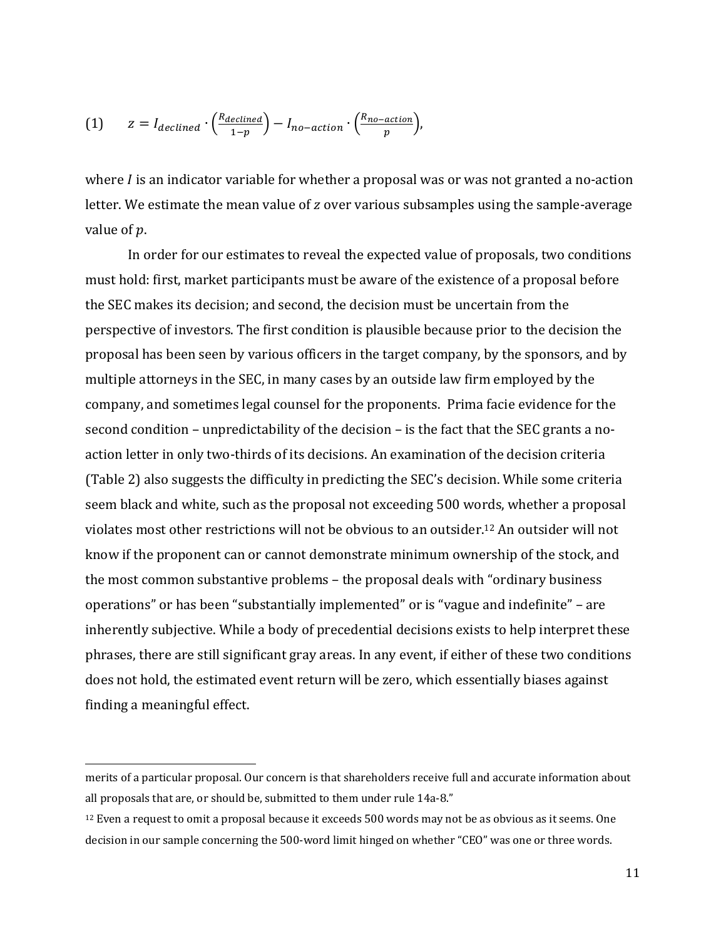(1) 
$$
z = I_{\text{declined}} \cdot \left(\frac{R_{\text{declined}}}{1-p}\right) - I_{\text{no-action}} \cdot \left(\frac{R_{\text{no-action}}}{p}\right),
$$

where  $I$  is an indicator variable for whether a proposal was or was not granted a no-action letter. We estimate the mean value of z over various subsamples using the sample-average value of  $p$ .

In order for our estimates to reveal the expected value of proposals, two conditions must hold: first, market participants must be aware of the existence of a proposal before the SEC makes its decision; and second, the decision must be uncertain from the perspective of investors. The first condition is plausible because prior to the decision the proposal has been seen by various officers in the target company, by the sponsors, and by multiple attorneys in the SEC, in many cases by an outside law firm employed by the company, and sometimes legal counsel for the proponents. Prima facie evidence for the second condition – unpredictability of the decision – is the fact that the SEC grants a noaction letter in only two-thirds of its decisions. An examination of the decision criteria (Table 2) also suggests the difficulty in predicting the SEC's decision. While some criteria seem black and white, such as the proposal not exceeding 500 words, whether a proposal violates most other restrictions will not be obvious to an outsider.<sup>12</sup> An outsider will not know if the proponent can or cannot demonstrate minimum ownership of the stock, and the most common substantive problems – the proposal deals with "ordinary business" operations" or has been "substantially implemented" or is "vague and indefinite" – are inherently subjective. While a body of precedential decisions exists to help interpret these phrases, there are still significant gray areas. In any event, if either of these two conditions does not hold, the estimated event return will be zero, which essentially biases against finding a meaningful effect.

merits of a particular proposal. Our concern is that shareholders receive full and accurate information about all proposals that are, or should be, submitted to them under rule 14a-8."

 $12$  Even a request to omit a proposal because it exceeds  $500$  words may not be as obvious as it seems. One decision in our sample concerning the 500-word limit hinged on whether "CEO" was one or three words.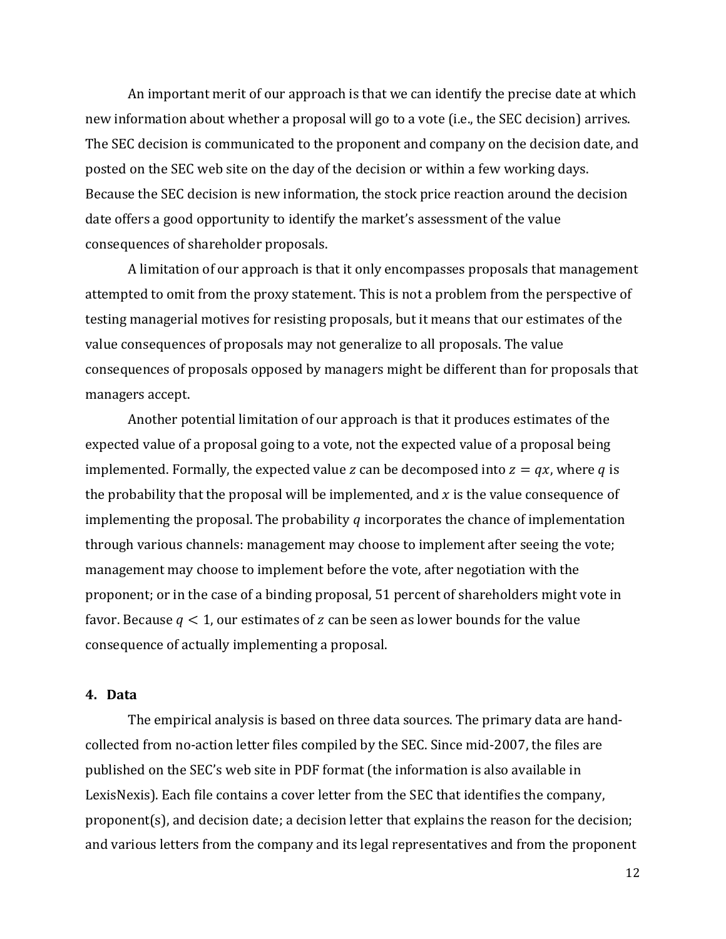An important merit of our approach is that we can identify the precise date at which new information about whether a proposal will go to a vote (i.e., the SEC decision) arrives. The SEC decision is communicated to the proponent and company on the decision date, and posted on the SEC web site on the day of the decision or within a few working days. Because the SEC decision is new information, the stock price reaction around the decision date offers a good opportunity to identify the market's assessment of the value consequences of shareholder proposals.

A limitation of our approach is that it only encompasses proposals that management attempted to omit from the proxy statement. This is not a problem from the perspective of testing managerial motives for resisting proposals, but it means that our estimates of the value consequences of proposals may not generalize to all proposals. The value consequences of proposals opposed by managers might be different than for proposals that managers accept.

Another potential limitation of our approach is that it produces estimates of the expected value of a proposal going to a vote, not the expected value of a proposal being implemented. Formally, the expected value z can be decomposed into  $z = qx$ , where q is the probability that the proposal will be implemented, and  $x$  is the value consequence of implementing the proposal. The probability q incorporates the chance of implementation through various channels: management may choose to implement after seeing the vote; management may choose to implement before the vote, after negotiation with the proponent; or in the case of a binding proposal, 51 percent of shareholders might vote in favor. Because  $q < 1$ , our estimates of z can be seen as lower bounds for the value consequence of actually implementing a proposal.

## **4. Data**

The empirical analysis is based on three data sources. The primary data are handcollected from no-action letter files compiled by the SEC. Since mid-2007, the files are published on the SEC's web site in PDF format (the information is also available in LexisNexis). Each file contains a cover letter from the SEC that identifies the company, proponent(s), and decision date; a decision letter that explains the reason for the decision; and various letters from the company and its legal representatives and from the proponent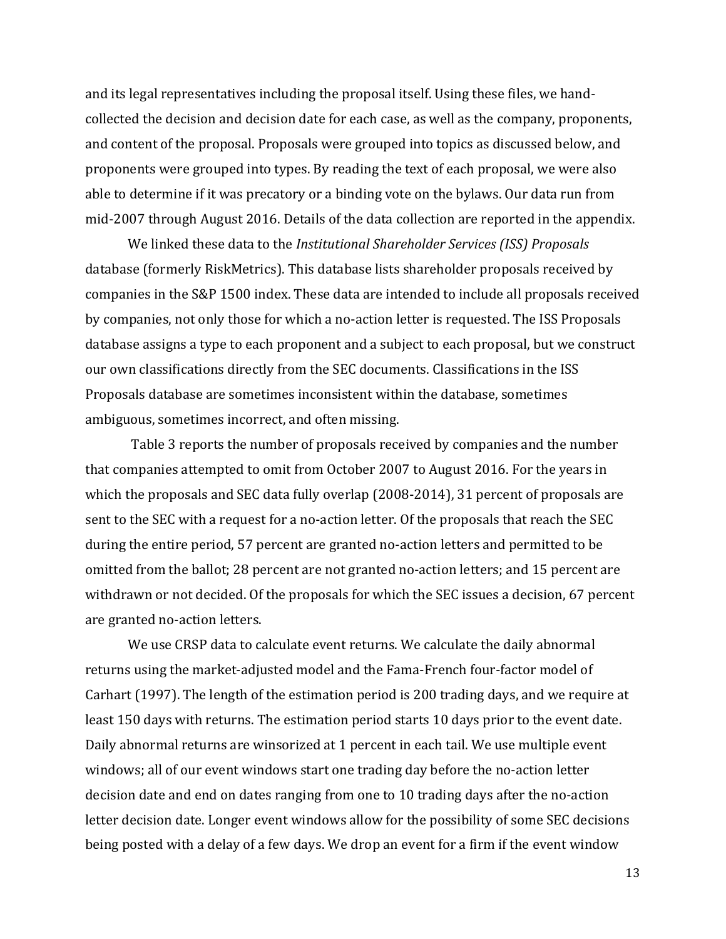and its legal representatives including the proposal itself. Using these files, we handcollected the decision and decision date for each case, as well as the company, proponents, and content of the proposal. Proposals were grouped into topics as discussed below, and proponents were grouped into types. By reading the text of each proposal, we were also able to determine if it was precatory or a binding vote on the bylaws. Our data run from mid-2007 through August 2016. Details of the data collection are reported in the appendix.

We linked these data to the *Institutional Shareholder Services (ISS) Proposals* database (formerly RiskMetrics). This database lists shareholder proposals received by companies in the S&P 1500 index. These data are intended to include all proposals received by companies, not only those for which a no-action letter is requested. The ISS Proposals database assigns a type to each proponent and a subject to each proposal, but we construct our own classifications directly from the SEC documents. Classifications in the ISS Proposals database are sometimes inconsistent within the database, sometimes ambiguous, sometimes incorrect, and often missing.

Table 3 reports the number of proposals received by companies and the number that companies attempted to omit from October 2007 to August 2016. For the years in which the proposals and SEC data fully overlap  $(2008-2014)$ , 31 percent of proposals are sent to the SEC with a request for a no-action letter. Of the proposals that reach the SEC during the entire period, 57 percent are granted no-action letters and permitted to be omitted from the ballot; 28 percent are not granted no-action letters; and 15 percent are withdrawn or not decided. Of the proposals for which the SEC issues a decision, 67 percent are granted no-action letters.

We use CRSP data to calculate event returns. We calculate the daily abnormal returns using the market-adjusted model and the Fama-French four-factor model of Carhart (1997). The length of the estimation period is 200 trading days, and we require at least 150 days with returns. The estimation period starts 10 days prior to the event date. Daily abnormal returns are winsorized at 1 percent in each tail. We use multiple event windows; all of our event windows start one trading day before the no-action letter decision date and end on dates ranging from one to 10 trading days after the no-action letter decision date. Longer event windows allow for the possibility of some SEC decisions being posted with a delay of a few days. We drop an event for a firm if the event window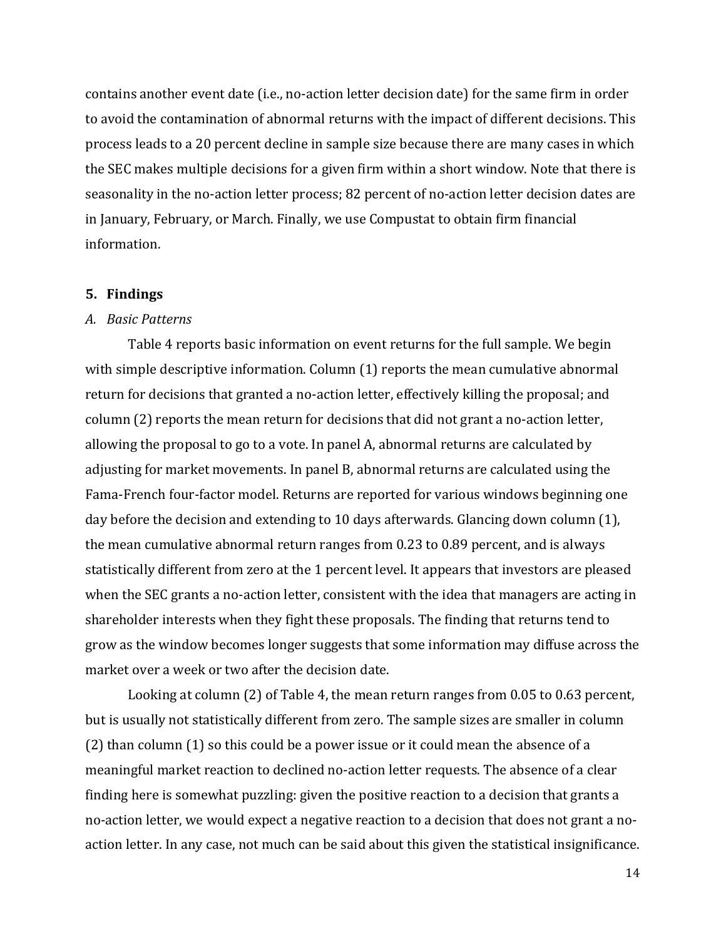contains another event date (i.e., no-action letter decision date) for the same firm in order to avoid the contamination of abnormal returns with the impact of different decisions. This process leads to a 20 percent decline in sample size because there are many cases in which the SEC makes multiple decisions for a given firm within a short window. Note that there is seasonality in the no-action letter process; 82 percent of no-action letter decision dates are in January, February, or March. Finally, we use Compustat to obtain firm financial information. 

#### **5. Findings**

#### *A. Basic Patterns*

Table 4 reports basic information on event returns for the full sample. We begin with simple descriptive information. Column  $(1)$  reports the mean cumulative abnormal return for decisions that granted a no-action letter, effectively killing the proposal; and column  $(2)$  reports the mean return for decisions that did not grant a no-action letter, allowing the proposal to go to a vote. In panel A, abnormal returns are calculated by adjusting for market movements. In panel B, abnormal returns are calculated using the Fama-French four-factor model. Returns are reported for various windows beginning one day before the decision and extending to 10 days afterwards. Glancing down column  $(1)$ , the mean cumulative abnormal return ranges from  $0.23$  to  $0.89$  percent, and is always statistically different from zero at the 1 percent level. It appears that investors are pleased when the SEC grants a no-action letter, consistent with the idea that managers are acting in shareholder interests when they fight these proposals. The finding that returns tend to grow as the window becomes longer suggests that some information may diffuse across the market over a week or two after the decision date.

Looking at column  $(2)$  of Table 4, the mean return ranges from 0.05 to 0.63 percent, but is usually not statistically different from zero. The sample sizes are smaller in column  $(2)$  than column  $(1)$  so this could be a power issue or it could mean the absence of a meaningful market reaction to declined no-action letter requests. The absence of a clear finding here is somewhat puzzling: given the positive reaction to a decision that grants a no-action letter, we would expect a negative reaction to a decision that does not grant a noaction letter. In any case, not much can be said about this given the statistical insignificance.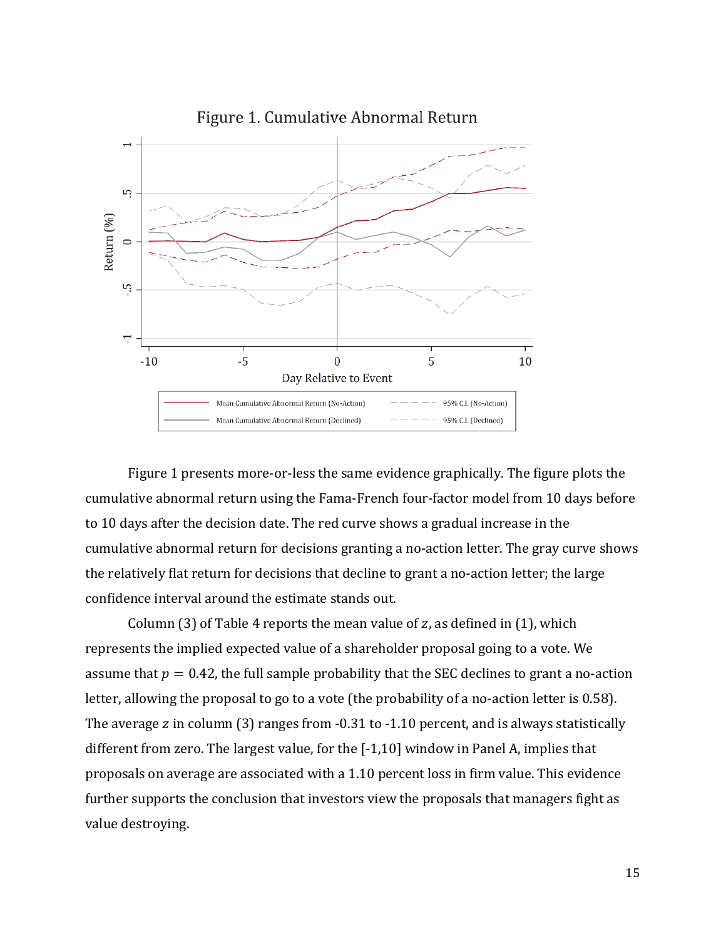

Figure 1. Cumulative Abnormal Return

Figure 1 presents more-or-less the same evidence graphically. The figure plots the cumulative abnormal return using the Fama-French four-factor model from 10 days before to 10 days after the decision date. The red curve shows a gradual increase in the cumulative abnormal return for decisions granting a no-action letter. The gray curve shows the relatively flat return for decisions that decline to grant a no-action letter; the large confidence interval around the estimate stands out.

Column (3) of Table 4 reports the mean value of z, as defined in (1), which represents the implied expected value of a shareholder proposal going to a vote. We assume that  $p = 0.42$ , the full sample probability that the SEC declines to grant a no-action letter, allowing the proposal to go to a vote (the probability of a no-action letter is 0.58). The average  $z$  in column (3) ranges from  $-0.31$  to  $-1.10$  percent, and is always statistically different from zero. The largest value, for the  $[-1,10]$  window in Panel A, implies that proposals on average are associated with a 1.10 percent loss in firm value. This evidence further supports the conclusion that investors view the proposals that managers fight as value destroying.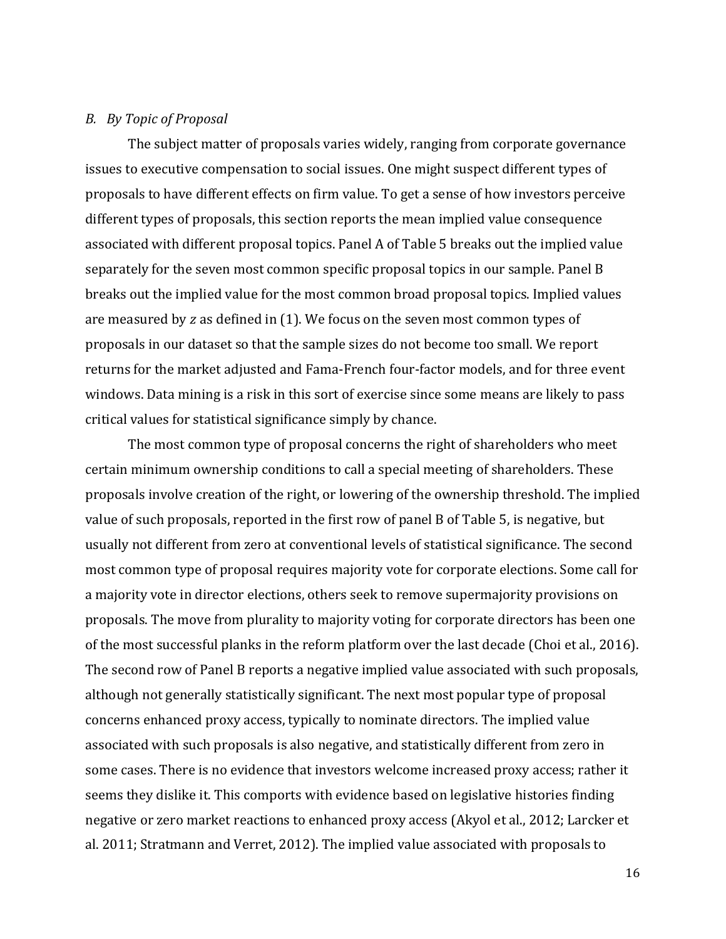#### *B. By Topic of Proposal*

The subject matter of proposals varies widely, ranging from corporate governance issues to executive compensation to social issues. One might suspect different types of proposals to have different effects on firm value. To get a sense of how investors perceive different types of proposals, this section reports the mean implied value consequence associated with different proposal topics. Panel A of Table 5 breaks out the implied value separately for the seven most common specific proposal topics in our sample. Panel B breaks out the implied value for the most common broad proposal topics. Implied values are measured by  $z$  as defined in  $(1)$ . We focus on the seven most common types of proposals in our dataset so that the sample sizes do not become too small. We report returns for the market adjusted and Fama-French four-factor models, and for three event windows. Data mining is a risk in this sort of exercise since some means are likely to pass critical values for statistical significance simply by chance.

The most common type of proposal concerns the right of shareholders who meet certain minimum ownership conditions to call a special meeting of shareholders. These proposals involve creation of the right, or lowering of the ownership threshold. The implied value of such proposals, reported in the first row of panel B of Table 5, is negative, but usually not different from zero at conventional levels of statistical significance. The second most common type of proposal requires majority vote for corporate elections. Some call for a majority vote in director elections, others seek to remove supermajority provisions on proposals. The move from plurality to majority voting for corporate directors has been one of the most successful planks in the reform platform over the last decade (Choi et al., 2016). The second row of Panel B reports a negative implied value associated with such proposals, although not generally statistically significant. The next most popular type of proposal concerns enhanced proxy access, typically to nominate directors. The implied value associated with such proposals is also negative, and statistically different from zero in some cases. There is no evidence that investors welcome increased proxy access; rather it seems they dislike it. This comports with evidence based on legislative histories finding negative or zero market reactions to enhanced proxy access (Akyol et al., 2012; Larcker et al. 2011; Stratmann and Verret, 2012). The implied value associated with proposals to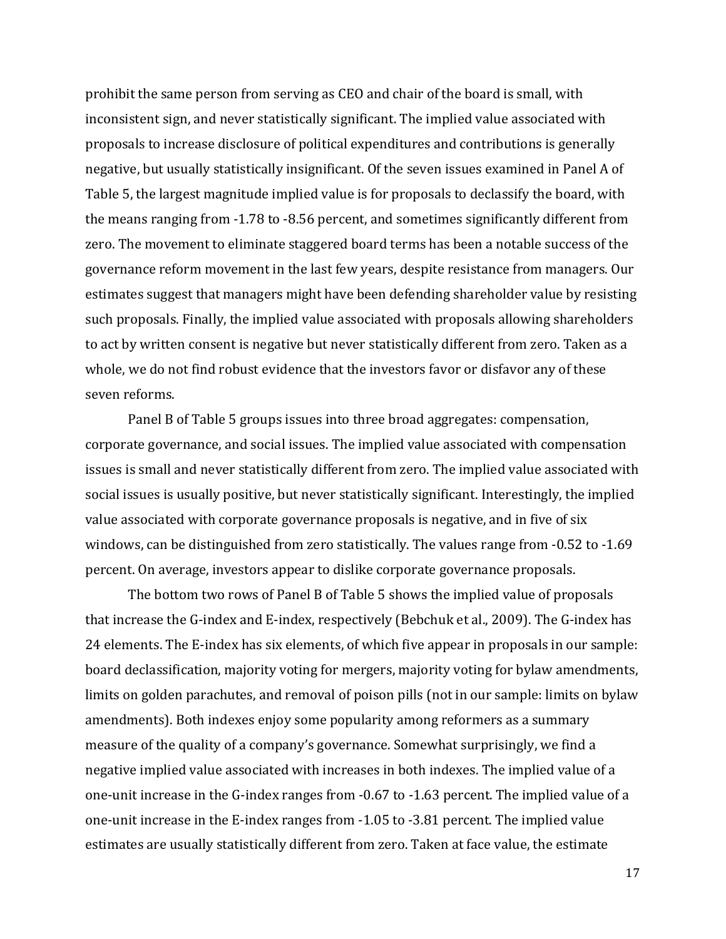prohibit the same person from serving as CEO and chair of the board is small, with inconsistent sign, and never statistically significant. The implied value associated with proposals to increase disclosure of political expenditures and contributions is generally negative, but usually statistically insignificant. Of the seven issues examined in Panel A of Table 5, the largest magnitude implied value is for proposals to declassify the board, with the means ranging from -1.78 to -8.56 percent, and sometimes significantly different from zero. The movement to eliminate staggered board terms has been a notable success of the governance reform movement in the last few years, despite resistance from managers. Our estimates suggest that managers might have been defending shareholder value by resisting such proposals. Finally, the implied value associated with proposals allowing shareholders to act by written consent is negative but never statistically different from zero. Taken as a whole, we do not find robust evidence that the investors favor or disfavor any of these seven reforms.

Panel B of Table 5 groups issues into three broad aggregates: compensation, corporate governance, and social issues. The implied value associated with compensation issues is small and never statistically different from zero. The implied value associated with social issues is usually positive, but never statistically significant. Interestingly, the implied value associated with corporate governance proposals is negative, and in five of six windows, can be distinguished from zero statistically. The values range from  $-0.52$  to  $-1.69$ percent. On average, investors appear to dislike corporate governance proposals.

The bottom two rows of Panel B of Table 5 shows the implied value of proposals that increase the G-index and E-index, respectively (Bebchuk et al., 2009). The G-index has 24 elements. The E-index has six elements, of which five appear in proposals in our sample: board declassification, majority voting for mergers, majority voting for bylaw amendments, limits on golden parachutes, and removal of poison pills (not in our sample: limits on bylaw amendments). Both indexes enjoy some popularity among reformers as a summary measure of the quality of a company's governance. Somewhat surprisingly, we find a negative implied value associated with increases in both indexes. The implied value of a one-unit increase in the G-index ranges from -0.67 to -1.63 percent. The implied value of a one-unit increase in the E-index ranges from -1.05 to -3.81 percent. The implied value estimates are usually statistically different from zero. Taken at face value, the estimate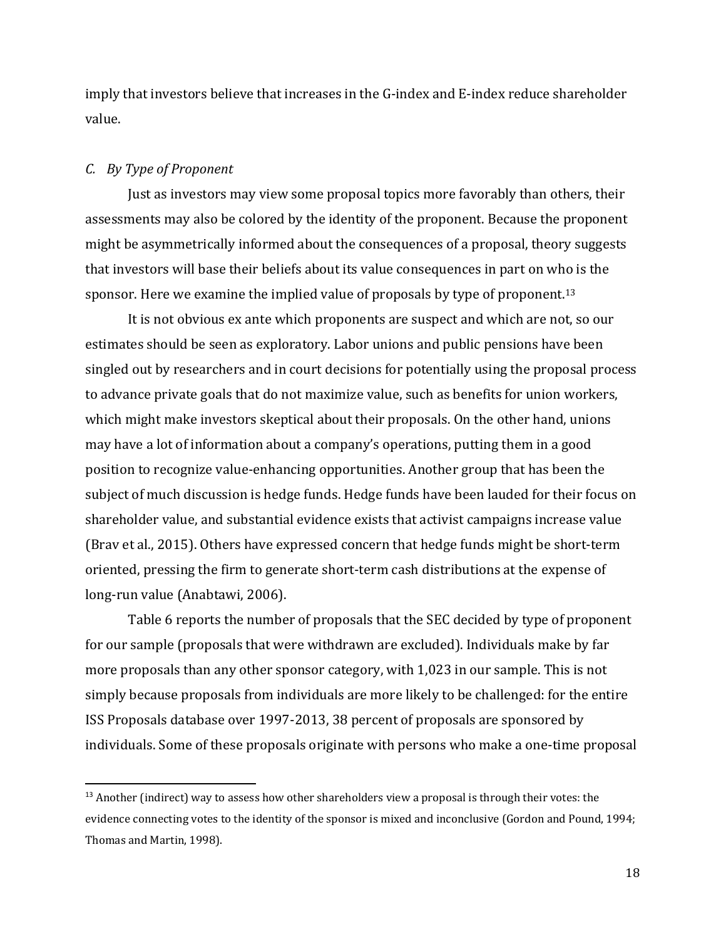imply that investors believe that increases in the G-index and E-index reduce shareholder value. 

#### *C. By Type of Proponent*

Just as investors may view some proposal topics more favorably than others, their assessments may also be colored by the identity of the proponent. Because the proponent might be asymmetrically informed about the consequences of a proposal, theory suggests that investors will base their beliefs about its value consequences in part on who is the sponsor. Here we examine the implied value of proposals by type of proponent.<sup>13</sup>

It is not obvious ex ante which proponents are suspect and which are not, so our estimates should be seen as exploratory. Labor unions and public pensions have been singled out by researchers and in court decisions for potentially using the proposal process to advance private goals that do not maximize value, such as benefits for union workers, which might make investors skeptical about their proposals. On the other hand, unions may have a lot of information about a company's operations, putting them in a good position to recognize value-enhancing opportunities. Another group that has been the subject of much discussion is hedge funds. Hedge funds have been lauded for their focus on shareholder value, and substantial evidence exists that activist campaigns increase value (Brav et al., 2015). Others have expressed concern that hedge funds might be short-term oriented, pressing the firm to generate short-term cash distributions at the expense of long-run value (Anabtawi, 2006).

Table 6 reports the number of proposals that the SEC decided by type of proponent for our sample (proposals that were withdrawn are excluded). Individuals make by far more proposals than any other sponsor category, with  $1,023$  in our sample. This is not simply because proposals from individuals are more likely to be challenged: for the entire ISS Proposals database over 1997‐2013, 38 percent of proposals are sponsored by individuals. Some of these proposals originate with persons who make a one-time proposal

 $<sup>13</sup>$  Another (indirect) way to assess how other shareholders view a proposal is through their votes: the</sup> evidence connecting votes to the identity of the sponsor is mixed and inconclusive (Gordon and Pound, 1994; Thomas and Martin, 1998).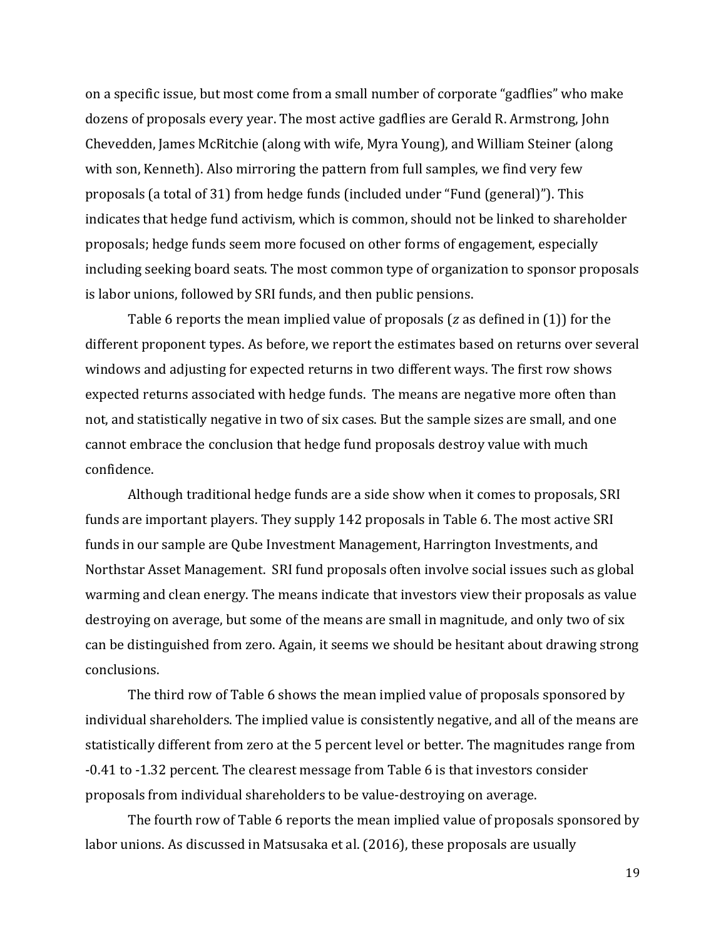on a specific issue, but most come from a small number of corporate "gadflies" who make dozens of proposals every year. The most active gadflies are Gerald R. Armstrong, John Chevedden, James McRitchie (along with wife, Myra Young), and William Steiner (along with son, Kenneth). Also mirroring the pattern from full samples, we find very few proposals (a total of 31) from hedge funds (included under "Fund (general)"). This indicates that hedge fund activism, which is common, should not be linked to shareholder proposals; hedge funds seem more focused on other forms of engagement, especially including seeking board seats. The most common type of organization to sponsor proposals is labor unions, followed by SRI funds, and then public pensions.

Table 6 reports the mean implied value of proposals ( $z$  as defined in (1)) for the different proponent types. As before, we report the estimates based on returns over several windows and adjusting for expected returns in two different ways. The first row shows expected returns associated with hedge funds. The means are negative more often than not, and statistically negative in two of six cases. But the sample sizes are small, and one cannot embrace the conclusion that hedge fund proposals destroy value with much confidence. 

Although traditional hedge funds are a side show when it comes to proposals, SRI funds are important players. They supply 142 proposals in Table 6. The most active SRI funds in our sample are Qube Investment Management, Harrington Investments, and Northstar Asset Management. SRI fund proposals often involve social issues such as global warming and clean energy. The means indicate that investors view their proposals as value destroying on average, but some of the means are small in magnitude, and only two of six can be distinguished from zero. Again, it seems we should be hesitant about drawing strong conclusions. 

The third row of Table 6 shows the mean implied value of proposals sponsored by individual shareholders. The implied value is consistently negative, and all of the means are statistically different from zero at the 5 percent level or better. The magnitudes range from  $-0.41$  to  $-1.32$  percent. The clearest message from Table 6 is that investors consider proposals from individual shareholders to be value-destroying on average.

The fourth row of Table 6 reports the mean implied value of proposals sponsored by labor unions. As discussed in Matsusaka et al. (2016), these proposals are usually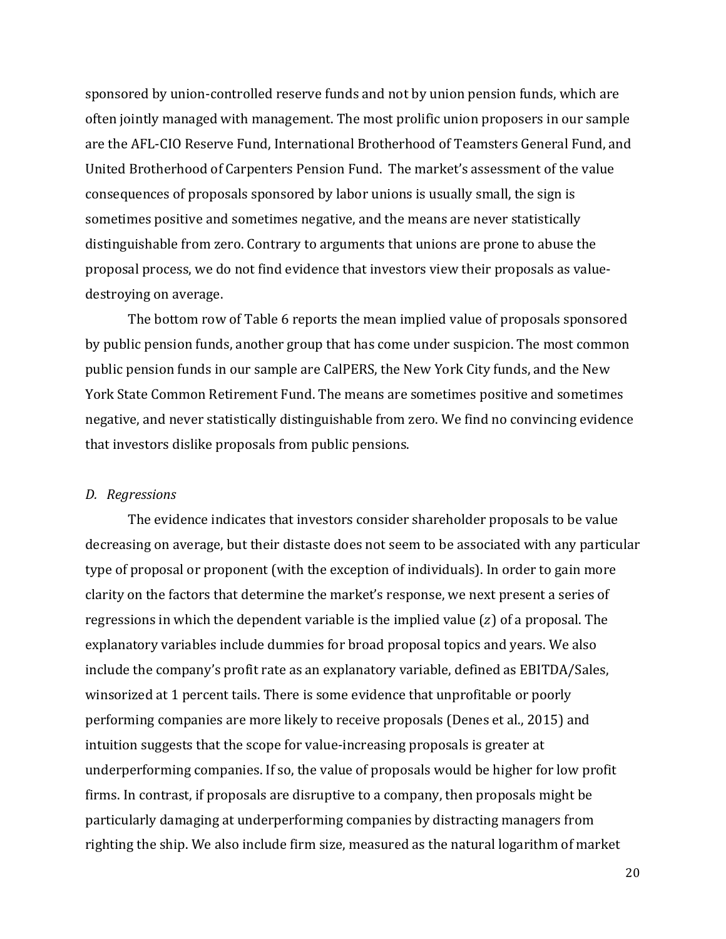sponsored by union-controlled reserve funds and not by union pension funds, which are often jointly managed with management. The most prolific union proposers in our sample are the AFL-CIO Reserve Fund, International Brotherhood of Teamsters General Fund, and United Brotherhood of Carpenters Pension Fund. The market's assessment of the value consequences of proposals sponsored by labor unions is usually small, the sign is sometimes positive and sometimes negative, and the means are never statistically distinguishable from zero. Contrary to arguments that unions are prone to abuse the proposal process, we do not find evidence that investors view their proposals as valuedestroying on average.

The bottom row of Table 6 reports the mean implied value of proposals sponsored by public pension funds, another group that has come under suspicion. The most common public pension funds in our sample are CalPERS, the New York City funds, and the New York State Common Retirement Fund. The means are sometimes positive and sometimes negative, and never statistically distinguishable from zero. We find no convincing evidence that investors dislike proposals from public pensions.

#### *D. Regressions*

The evidence indicates that investors consider shareholder proposals to be value decreasing on average, but their distaste does not seem to be associated with any particular type of proposal or proponent (with the exception of individuals). In order to gain more clarity on the factors that determine the market's response, we next present a series of regressions in which the dependent variable is the implied value  $(z)$  of a proposal. The explanatory variables include dummies for broad proposal topics and years. We also include the company's profit rate as an explanatory variable, defined as EBITDA/Sales, winsorized at 1 percent tails. There is some evidence that unprofitable or poorly performing companies are more likely to receive proposals (Denes et al., 2015) and intuition suggests that the scope for value-increasing proposals is greater at underperforming companies. If so, the value of proposals would be higher for low profit firms. In contrast, if proposals are disruptive to a company, then proposals might be particularly damaging at underperforming companies by distracting managers from righting the ship. We also include firm size, measured as the natural logarithm of market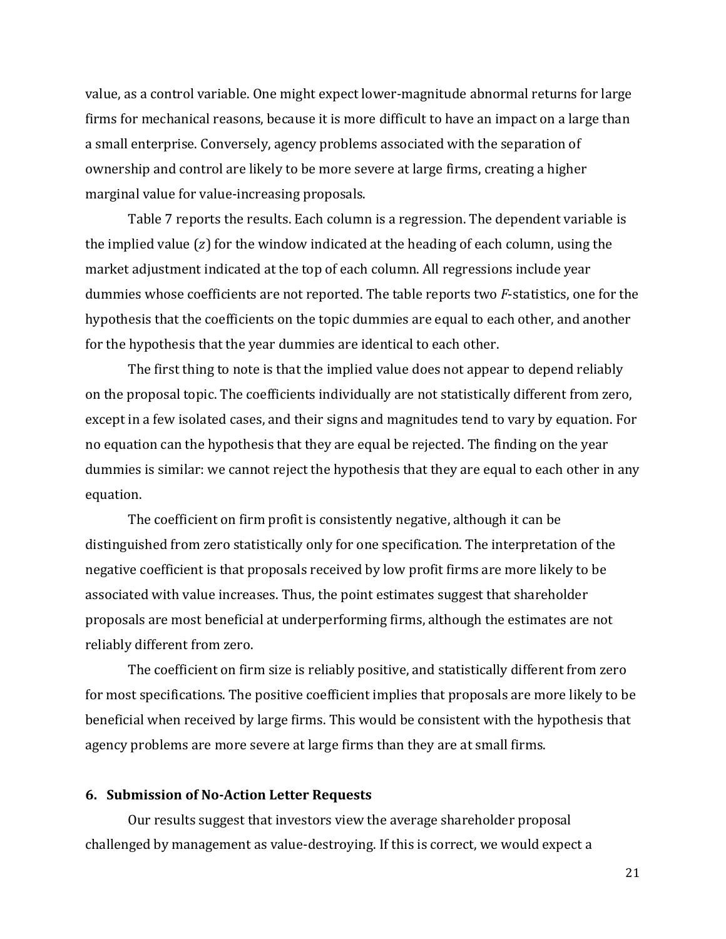value, as a control variable. One might expect lower-magnitude abnormal returns for large firms for mechanical reasons, because it is more difficult to have an impact on a large than a small enterprise. Conversely, agency problems associated with the separation of ownership and control are likely to be more severe at large firms, creating a higher marginal value for value-increasing proposals.

Table 7 reports the results. Each column is a regression. The dependent variable is the implied value  $(z)$  for the window indicated at the heading of each column, using the market adjustment indicated at the top of each column. All regressions include year dummies whose coefficients are not reported. The table reports two *F*-statistics, one for the hypothesis that the coefficients on the topic dummies are equal to each other, and another for the hypothesis that the year dummies are identical to each other.

The first thing to note is that the implied value does not appear to depend reliably on the proposal topic. The coefficients individually are not statistically different from zero, except in a few isolated cases, and their signs and magnitudes tend to vary by equation. For no equation can the hypothesis that they are equal be rejected. The finding on the year dummies is similar: we cannot reject the hypothesis that they are equal to each other in any equation. 

The coefficient on firm profit is consistently negative, although it can be distinguished from zero statistically only for one specification. The interpretation of the negative coefficient is that proposals received by low profit firms are more likely to be associated with value increases. Thus, the point estimates suggest that shareholder proposals are most beneficial at underperforming firms, although the estimates are not reliably different from zero.

The coefficient on firm size is reliably positive, and statistically different from zero for most specifications. The positive coefficient implies that proposals are more likely to be beneficial when received by large firms. This would be consistent with the hypothesis that agency problems are more severe at large firms than they are at small firms.

#### **6. Submission of No‐Action Letter Requests**

Our results suggest that investors view the average shareholder proposal challenged by management as value-destroying. If this is correct, we would expect a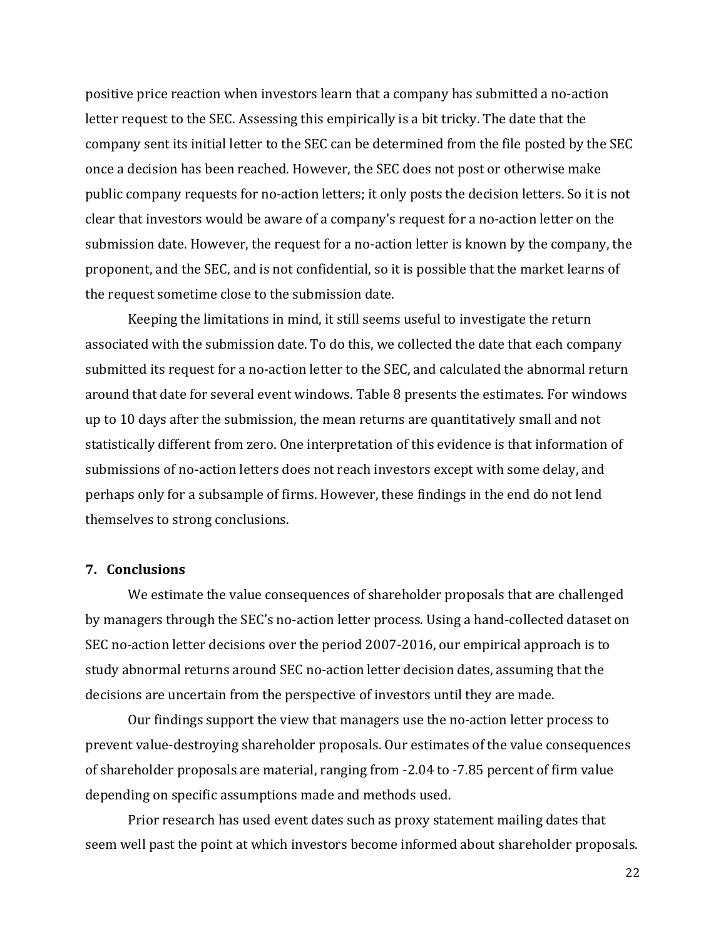positive price reaction when investors learn that a company has submitted a no-action letter request to the SEC. Assessing this empirically is a bit tricky. The date that the company sent its initial letter to the SEC can be determined from the file posted by the SEC once a decision has been reached. However, the SEC does not post or otherwise make public company requests for no-action letters; it only posts the decision letters. So it is not clear that investors would be aware of a company's request for a no-action letter on the submission date. However, the request for a no-action letter is known by the company, the proponent, and the SEC, and is not confidential, so it is possible that the market learns of the request sometime close to the submission date.

Keeping the limitations in mind, it still seems useful to investigate the return associated with the submission date. To do this, we collected the date that each company submitted its request for a no-action letter to the SEC, and calculated the abnormal return around that date for several event windows. Table 8 presents the estimates. For windows up to 10 days after the submission, the mean returns are quantitatively small and not statistically different from zero. One interpretation of this evidence is that information of submissions of no-action letters does not reach investors except with some delay, and perhaps only for a subsample of firms. However, these findings in the end do not lend themselves to strong conclusions.

### **7. Conclusions**

We estimate the value consequences of shareholder proposals that are challenged by managers through the SEC's no-action letter process. Using a hand-collected dataset on SEC no-action letter decisions over the period 2007-2016, our empirical approach is to study abnormal returns around SEC no-action letter decision dates, assuming that the decisions are uncertain from the perspective of investors until they are made.

Our findings support the view that managers use the no-action letter process to prevent value-destroying shareholder proposals. Our estimates of the value consequences of shareholder proposals are material, ranging from -2.04 to -7.85 percent of firm value depending on specific assumptions made and methods used.

Prior research has used event dates such as proxy statement mailing dates that seem well past the point at which investors become informed about shareholder proposals.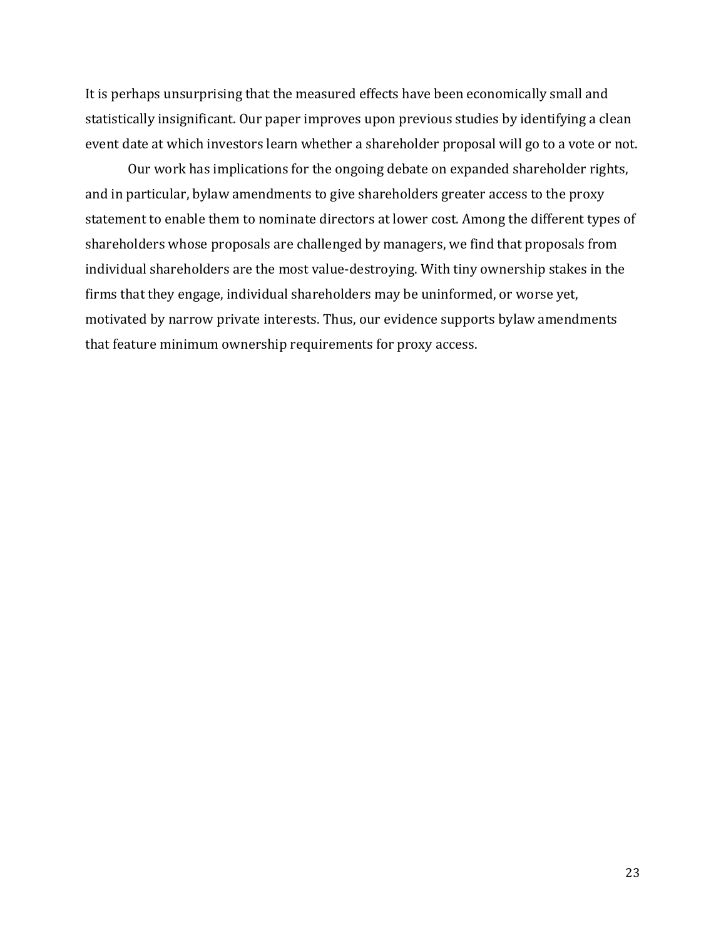It is perhaps unsurprising that the measured effects have been economically small and statistically insignificant. Our paper improves upon previous studies by identifying a clean event date at which investors learn whether a shareholder proposal will go to a vote or not.

Our work has implications for the ongoing debate on expanded shareholder rights, and in particular, bylaw amendments to give shareholders greater access to the proxy statement to enable them to nominate directors at lower cost. Among the different types of shareholders whose proposals are challenged by managers, we find that proposals from individual shareholders are the most value-destroying. With tiny ownership stakes in the firms that they engage, individual shareholders may be uninformed, or worse yet, motivated by narrow private interests. Thus, our evidence supports bylaw amendments that feature minimum ownership requirements for proxy access.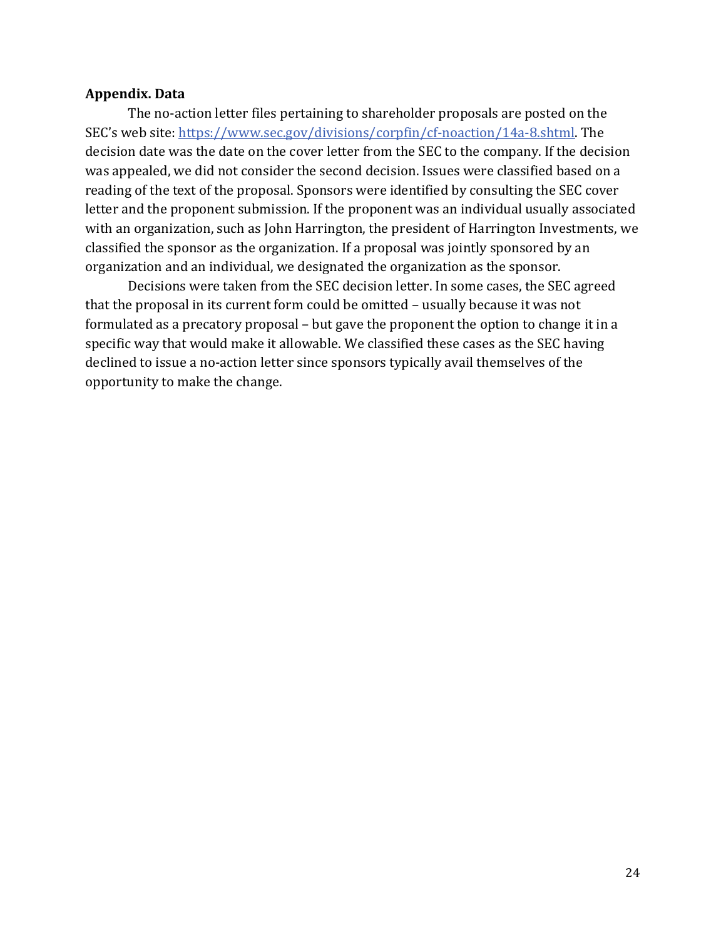### **Appendix. Data**

The no-action letter files pertaining to shareholder proposals are posted on the SEC's web site: https://www.sec.gov/divisions/corpfin/cf-noaction/14a-8.shtml. The decision date was the date on the cover letter from the SEC to the company. If the decision was appealed, we did not consider the second decision. Issues were classified based on a reading of the text of the proposal. Sponsors were identified by consulting the SEC cover letter and the proponent submission. If the proponent was an individual usually associated with an organization, such as John Harrington, the president of Harrington Investments, we classified the sponsor as the organization. If a proposal was jointly sponsored by an organization and an individual, we designated the organization as the sponsor.

Decisions were taken from the SEC decision letter. In some cases, the SEC agreed that the proposal in its current form could be omitted – usually because it was not formulated as a precatory proposal – but gave the proponent the option to change it in a specific way that would make it allowable. We classified these cases as the SEC having declined to issue a no-action letter since sponsors typically avail themselves of the opportunity to make the change.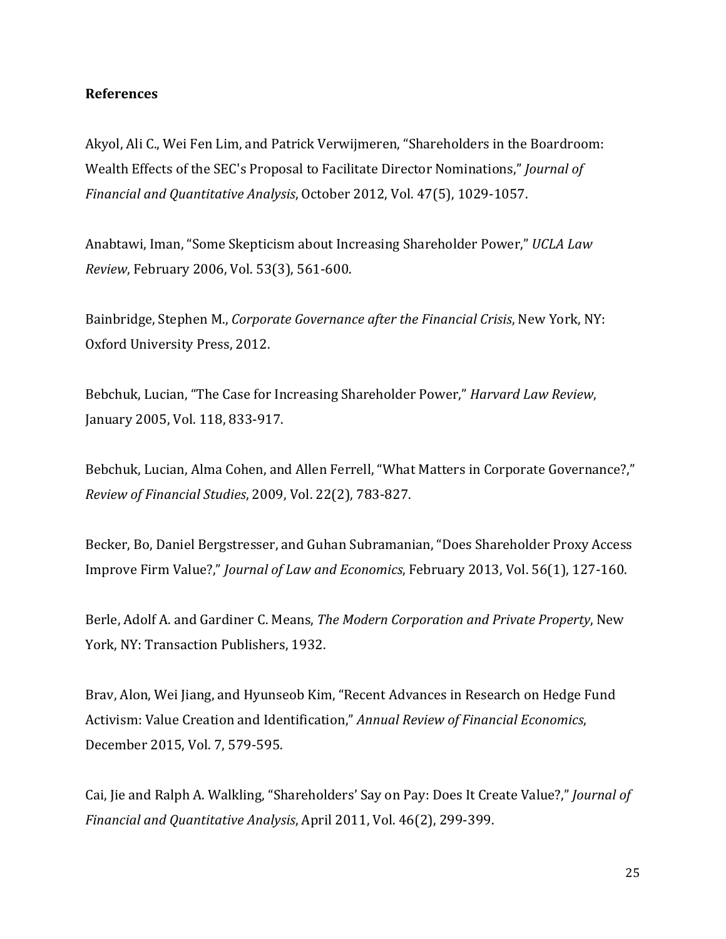## **References**

Akyol, Ali C., Wei Fen Lim, and Patrick Verwijmeren, "Shareholders in the Boardroom: Wealth Effects of the SEC's Proposal to Facilitate Director Nominations," Journal of *Financial and Quantitative Analysis*, October 2012, Vol. 47(5), 1029‐1057. 

Anabtawi, Iman, "Some Skepticism about Increasing Shareholder Power," UCLA Law *Review*, February 2006, Vol. 53(3), 561-600.

Bainbridge, Stephen M., *Corporate Governance after the Financial Crisis*, New York, NY: Oxford University Press, 2012.

Bebchuk, Lucian, "The Case for Increasing Shareholder Power," *Harvard Law Review*, January 2005, Vol. 118, 833-917.

Bebchuk, Lucian, Alma Cohen, and Allen Ferrell, "What Matters in Corporate Governance?," *Review of Financial Studies*, 2009, Vol. 22(2), 783‐827. 

Becker, Bo, Daniel Bergstresser, and Guhan Subramanian, "Does Shareholder Proxy Access Improve Firm Value?," *Journal of Law and Economics*, February 2013, Vol. 56(1), 127-160.

Berle, Adolf A. and Gardiner C. Means, *The Modern Corporation and Private Property*, New York, NY: Transaction Publishers, 1932.

Brav, Alon, Wei Jiang, and Hyunseob Kim, "Recent Advances in Research on Hedge Fund Activism: Value Creation and Identification," *Annual Review of Financial Economics*, December 2015, Vol. 7, 579-595.

Cai, Jie and Ralph A. Walkling, "Shareholders' Say on Pay: Does It Create Value?," *Journal of Financial and Quantitative Analysis*, April 2011, Vol. 46(2), 299‐399.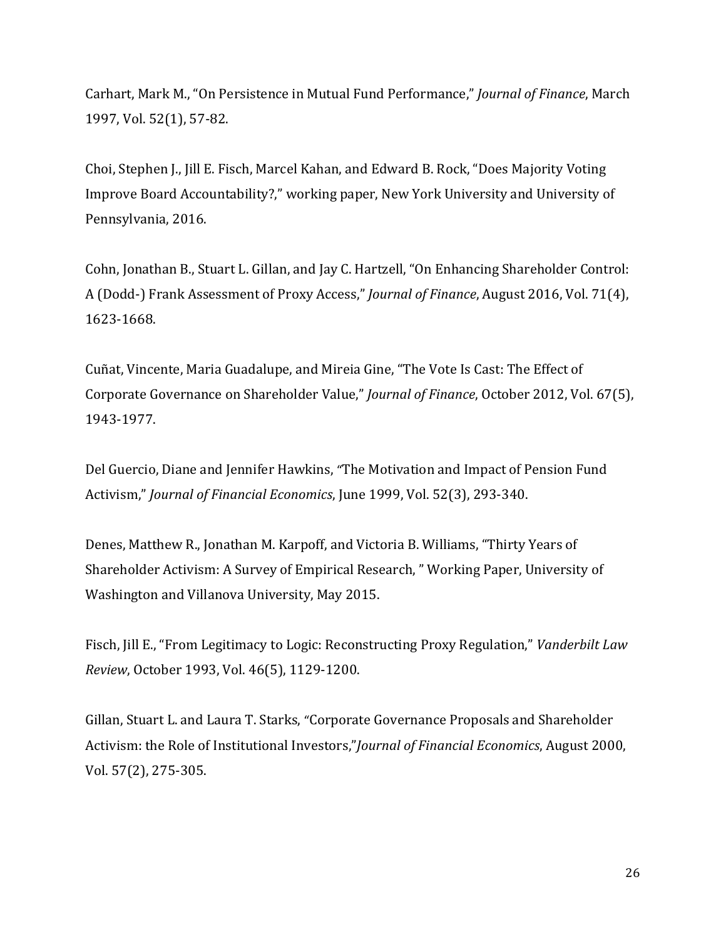Carhart, Mark M., "On Persistence in Mutual Fund Performance," *Journal of Finance*, March 1997, Vol. 52(1), 57-82.

Choi, Stephen J., Jill E. Fisch, Marcel Kahan, and Edward B. Rock, "Does Majority Voting Improve Board Accountability?," working paper, New York University and University of Pennsylvania, 2016.

Cohn, Jonathan B., Stuart L. Gillan, and Jay C. Hartzell, "On Enhancing Shareholder Control: A (Dodd‐) Frank Assessment of Proxy Access," *Journal of Finance*, August 2016, Vol. 71(4), 1623‐1668. 

Cuñat, Vincente, Maria Guadalupe, and Mireia Gine, "The Vote Is Cast: The Effect of Corporate Governance on Shareholder Value," *Journal of Finance*, October 2012, Vol. 67(5), 1943‐1977. 

Del Guercio, Diane and Jennifer Hawkins, "The Motivation and Impact of Pension Fund Activism," *Journal of Financial Economics*, June 1999, Vol. 52(3), 293‐340. 

Denes, Matthew R., Jonathan M. Karpoff, and Victoria B. Williams, "Thirty Years of Shareholder Activism: A Survey of Empirical Research, " Working Paper, University of Washington and Villanova University, May 2015.

Fisch, Jill E., "From Legitimacy to Logic: Reconstructing Proxy Regulation," *Vanderbilt Law Review*, October 1993, Vol. 46(5), 1129-1200.

Gillan, Stuart L. and Laura T. Starks, "Corporate Governance Proposals and Shareholder Activism: the Role of Institutional Investors,"*Journal of Financial Economics*, August 2000, Vol. 57(2), 275‐305.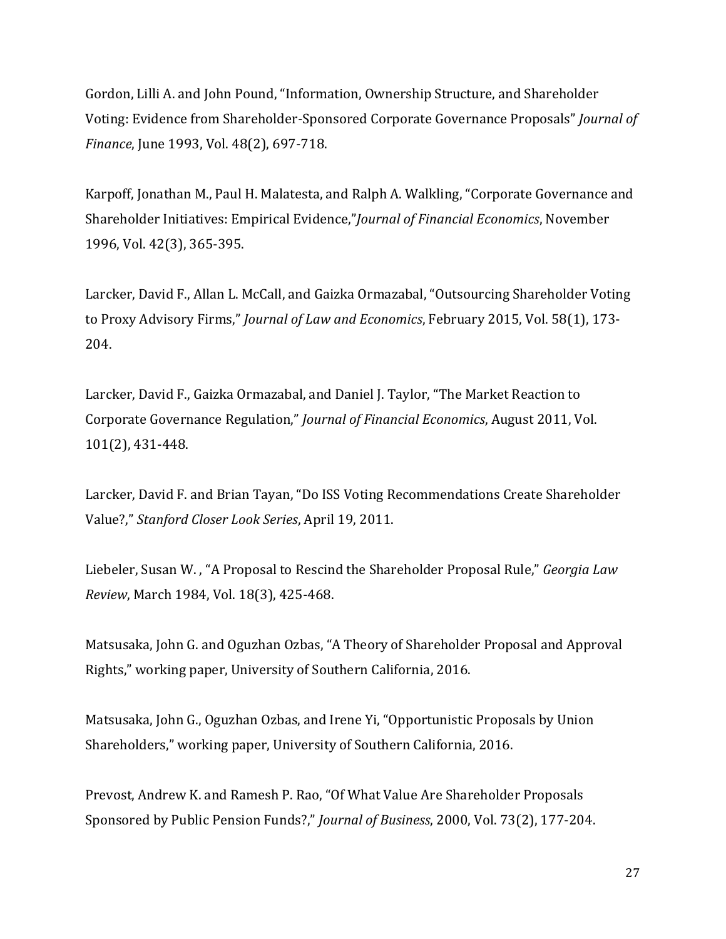Gordon, Lilli A. and John Pound, "Information, Ownership Structure, and Shareholder Voting: Evidence from Shareholder-Sponsored Corporate Governance Proposals" *Journal of Finance*, June 1993, Vol. 48(2), 697-718.

Karpoff, Jonathan M., Paul H. Malatesta, and Ralph A. Walkling, "Corporate Governance and Shareholder Initiatives: Empirical Evidence,"*Journal of Financial Economics*, November 1996, Vol. 42(3), 365-395.

Larcker, David F., Allan L. McCall, and Gaizka Ormazabal, "Outsourcing Shareholder Voting to Proxy Advisory Firms," *Journal of Law and Economics*, February 2015, Vol. 58(1), 173-204. 

Larcker, David F., Gaizka Ormazabal, and Daniel J. Taylor, "The Market Reaction to Corporate Governance Regulation," *Journal of Financial Economics*, August 2011, Vol. 101(2), 431-448.

Larcker, David F. and Brian Tayan, "Do ISS Voting Recommendations Create Shareholder Value?," *Stanford Closer Look Series*, April 19, 2011. 

Liebeler, Susan W., "A Proposal to Rescind the Shareholder Proposal Rule," *Georgia Law Review*, March 1984, Vol. 18(3), 425-468.

Matsusaka, John G. and Oguzhan Ozbas, "A Theory of Shareholder Proposal and Approval Rights," working paper, University of Southern California, 2016.

Matsusaka, John G., Oguzhan Ozbas, and Irene Yi, "Opportunistic Proposals by Union Shareholders," working paper, University of Southern California, 2016.

Prevost, Andrew K. and Ramesh P. Rao, "Of What Value Are Shareholder Proposals Sponsored by Public Pension Funds?," *Journal of Business*, 2000, Vol. 73(2), 177-204.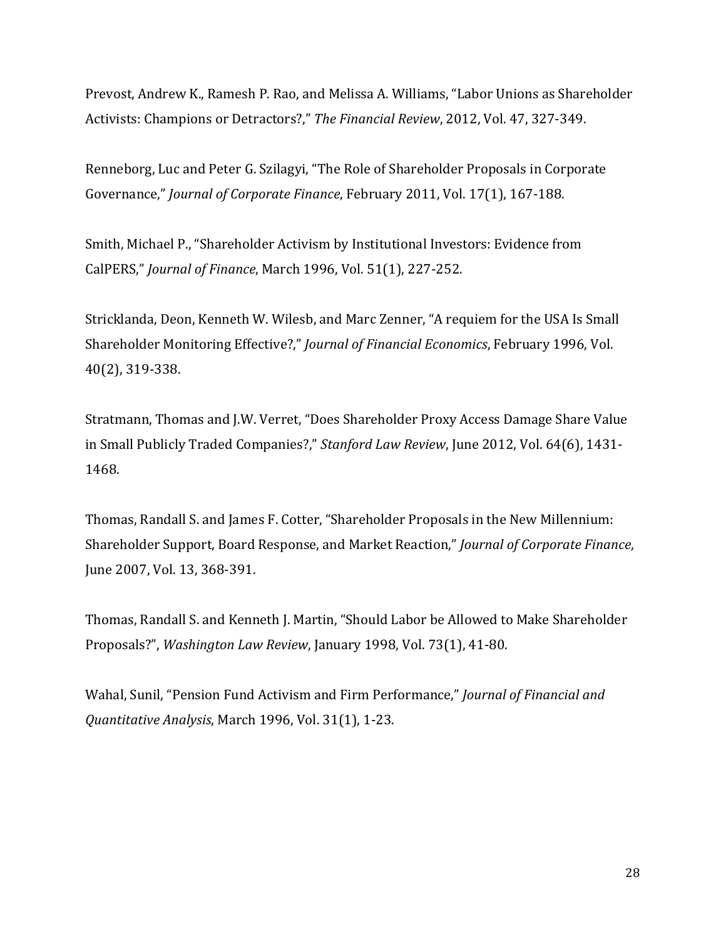Prevost, Andrew K., Ramesh P. Rao, and Melissa A. Williams, "Labor Unions as Shareholder Activists: Champions or Detractors?," The Financial Review, 2012, Vol. 47, 327-349.

Renneborg, Luc and Peter G. Szilagyi, "The Role of Shareholder Proposals in Corporate Governance," *Journal of Corporate Finance*, February 2011, Vol. 17(1), 167-188.

Smith, Michael P., "Shareholder Activism by Institutional Investors: Evidence from CalPERS," *Journal of Finance*, March 1996, Vol. 51(1), 227‐252. 

Stricklanda, Deon, Kenneth W. Wilesb, and Marc Zenner, "A requiem for the USA Is Small Shareholder Monitoring Effective?," *Journal of Financial Economics*, February 1996, Vol. 40(2), 319‐338. 

Stratmann, Thomas and J.W. Verret, "Does Shareholder Proxy Access Damage Share Value in Small Publicly Traded Companies?," Stanford Law Review, June 2012, Vol. 64(6), 1431-1468. 

Thomas, Randall S. and James F. Cotter, "Shareholder Proposals in the New Millennium: Shareholder Support, Board Response, and Market Reaction," *Journal of Corporate Finance*, June 2007, Vol. 13, 368-391.

Thomas, Randall S. and Kenneth J. Martin, "Should Labor be Allowed to Make Shareholder Proposals?", *Washington Law Review*, January 1998, Vol. 73(1), 41-80.

Wahal, Sunil, "Pension Fund Activism and Firm Performance," *Journal of Financial and Quantitative Analysis, March 1996, Vol.* 31(1), 1-23.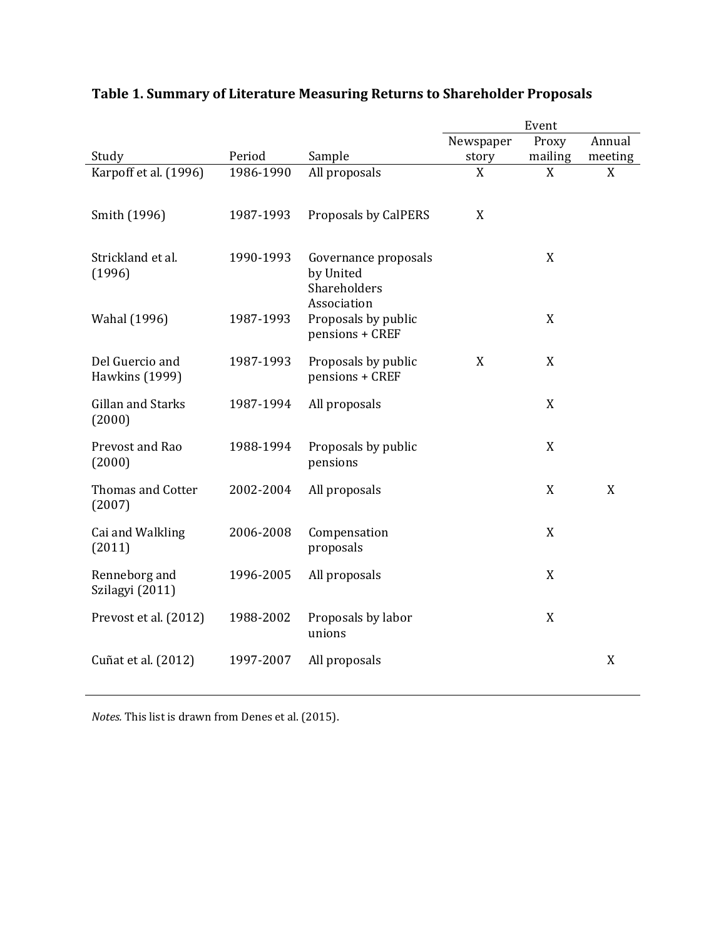|                                    |           |                                                                  |           | Event            |         |
|------------------------------------|-----------|------------------------------------------------------------------|-----------|------------------|---------|
|                                    |           |                                                                  | Newspaper | Proxy            | Annual  |
| Study                              | Period    | Sample                                                           | story     | mailing          | meeting |
| Karpoff et al. (1996)              | 1986-1990 | All proposals                                                    | X         | X                | X       |
| Smith (1996)                       | 1987-1993 | Proposals by CalPERS                                             | X         |                  |         |
| Strickland et al.<br>(1996)        | 1990-1993 | Governance proposals<br>by United<br>Shareholders<br>Association |           | X                |         |
| Wahal (1996)                       | 1987-1993 | Proposals by public<br>pensions + CREF                           |           | X                |         |
| Del Guercio and<br>Hawkins (1999)  | 1987-1993 | Proposals by public<br>pensions + CREF                           | X         | X                |         |
| Gillan and Starks<br>(2000)        | 1987-1994 | All proposals                                                    |           | X                |         |
| Prevost and Rao<br>(2000)          | 1988-1994 | Proposals by public<br>pensions                                  |           | X                |         |
| <b>Thomas and Cotter</b><br>(2007) | 2002-2004 | All proposals                                                    |           | X                | X       |
| Cai and Walkling<br>(2011)         | 2006-2008 | Compensation<br>proposals                                        |           | $\boldsymbol{X}$ |         |
| Renneborg and<br>Szilagyi (2011)   | 1996-2005 | All proposals                                                    |           | X                |         |
| Prevost et al. (2012)              | 1988-2002 | Proposals by labor<br>unions                                     |           | X                |         |
| Cuñat et al. (2012)                | 1997-2007 | All proposals                                                    |           |                  | X       |

## **Table 1. Summary of Literature Measuring Returns to Shareholder Proposals**

*Notes.* This list is drawn from Denes et al. (2015).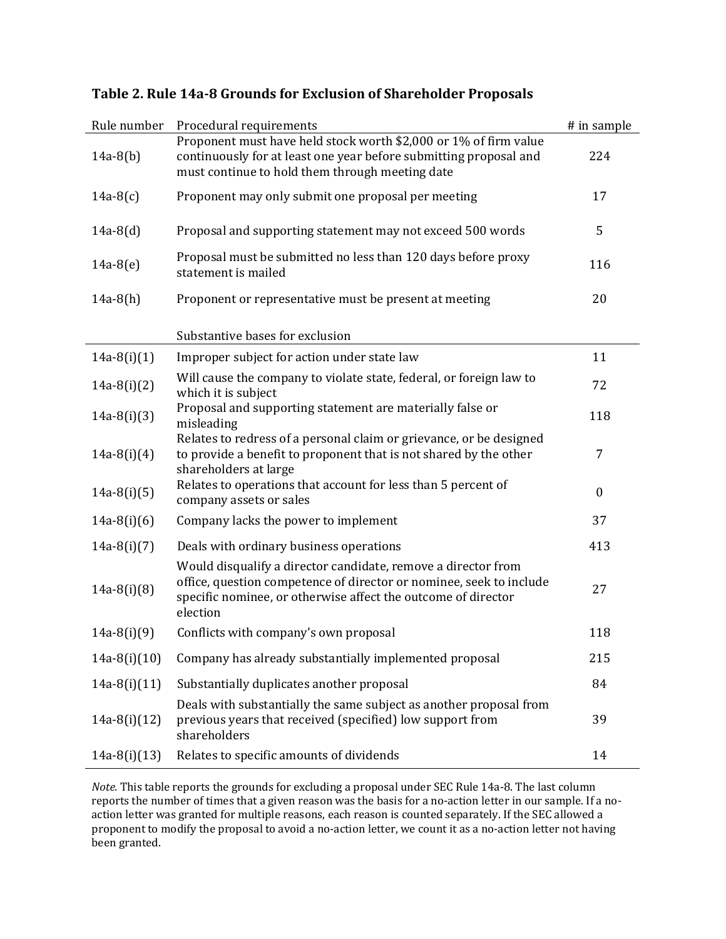| Rule number    | Procedural requirements                                                                                                                                                                                           | # in sample      |
|----------------|-------------------------------------------------------------------------------------------------------------------------------------------------------------------------------------------------------------------|------------------|
| $14a-8(b)$     | Proponent must have held stock worth \$2,000 or 1% of firm value<br>continuously for at least one year before submitting proposal and<br>must continue to hold them through meeting date                          | 224              |
| $14a-8(c)$     | Proponent may only submit one proposal per meeting                                                                                                                                                                | 17               |
| $14a-8(d)$     | Proposal and supporting statement may not exceed 500 words                                                                                                                                                        | 5                |
| $14a-8(e)$     | Proposal must be submitted no less than 120 days before proxy<br>statement is mailed                                                                                                                              | 116              |
| $14a-8(h)$     | Proponent or representative must be present at meeting                                                                                                                                                            | 20               |
|                | Substantive bases for exclusion                                                                                                                                                                                   |                  |
| $14a-8(i)(1)$  | Improper subject for action under state law                                                                                                                                                                       | 11               |
| $14a-8(i)(2)$  | Will cause the company to violate state, federal, or foreign law to<br>which it is subject                                                                                                                        | 72               |
| $14a-8(i)(3)$  | Proposal and supporting statement are materially false or<br>misleading                                                                                                                                           | 118              |
| $14a-8(i)(4)$  | Relates to redress of a personal claim or grievance, or be designed<br>to provide a benefit to proponent that is not shared by the other<br>shareholders at large                                                 | 7                |
| $14a-8(i)(5)$  | Relates to operations that account for less than 5 percent of<br>company assets or sales                                                                                                                          | $\boldsymbol{0}$ |
| $14a-8(i)(6)$  | Company lacks the power to implement                                                                                                                                                                              | 37               |
| $14a-8(i)(7)$  | Deals with ordinary business operations                                                                                                                                                                           | 413              |
| $14a-8(i)(8)$  | Would disqualify a director candidate, remove a director from<br>office, question competence of director or nominee, seek to include<br>specific nominee, or otherwise affect the outcome of director<br>election | 27               |
| $14a-8(i)(9)$  | Conflicts with company's own proposal                                                                                                                                                                             | 118              |
| $14a-8(i)(10)$ | Company has already substantially implemented proposal                                                                                                                                                            | 215              |
| $14a-8(i)(11)$ | Substantially duplicates another proposal                                                                                                                                                                         | 84               |
| $14a-8(i)(12)$ | Deals with substantially the same subject as another proposal from<br>previous years that received (specified) low support from<br>shareholders                                                                   | 39               |
| $14a-8(i)(13)$ | Relates to specific amounts of dividends                                                                                                                                                                          | 14               |

## **Table 2. Rule 14a‐8 Grounds for Exclusion of Shareholder Proposals**

*Note.* This table reports the grounds for excluding a proposal under SEC Rule 14a-8. The last column reports the number of times that a given reason was the basis for a no-action letter in our sample. If a noaction letter was granted for multiple reasons, each reason is counted separately. If the SEC allowed a proponent to modify the proposal to avoid a no-action letter, we count it as a no-action letter not having been granted.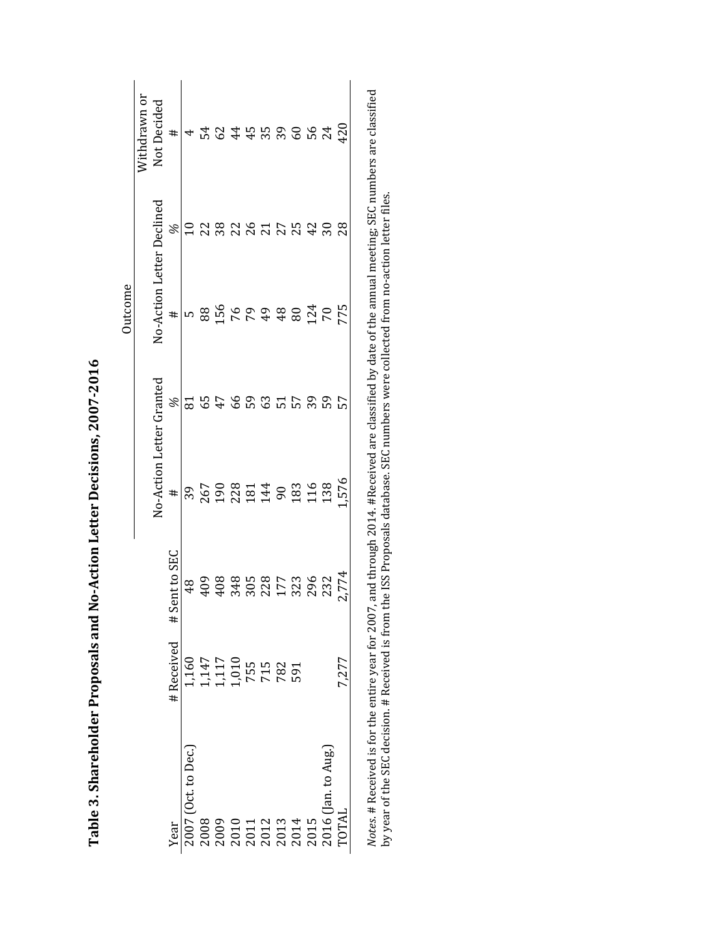|                                                                                                         |                                              |                                                                                                                                                                                                                                                                                                               |                                             |       | Outcome                                                                             |                 |                                                                                                      |
|---------------------------------------------------------------------------------------------------------|----------------------------------------------|---------------------------------------------------------------------------------------------------------------------------------------------------------------------------------------------------------------------------------------------------------------------------------------------------------------|---------------------------------------------|-------|-------------------------------------------------------------------------------------|-----------------|------------------------------------------------------------------------------------------------------|
|                                                                                                         |                                              |                                                                                                                                                                                                                                                                                                               |                                             |       |                                                                                     |                 | Nithdrawn or                                                                                         |
|                                                                                                         |                                              |                                                                                                                                                                                                                                                                                                               | No-Action Letter Granted                    |       | No-Action Letter Declined                                                           |                 | Not Decided                                                                                          |
| Year                                                                                                    | #Received                                    | ent to SEC<br>S<br>#                                                                                                                                                                                                                                                                                          | #                                           | L     | #                                                                                   | L               | $\ddagger$                                                                                           |
| 2007 (Oct. to Dec.)                                                                                     | 1,160                                        | 48                                                                                                                                                                                                                                                                                                            |                                             |       |                                                                                     |                 |                                                                                                      |
|                                                                                                         |                                              |                                                                                                                                                                                                                                                                                                               |                                             |       | 88                                                                                  |                 | $\vec{r}$                                                                                            |
|                                                                                                         |                                              |                                                                                                                                                                                                                                                                                                               |                                             | $7\,$ |                                                                                     | 38              |                                                                                                      |
|                                                                                                         |                                              |                                                                                                                                                                                                                                                                                                               |                                             | 66    |                                                                                     | 22              |                                                                                                      |
|                                                                                                         | 1,147<br>1,117<br>1,010<br>755<br>782<br>591 |                                                                                                                                                                                                                                                                                                               | $30,000$<br>$25,000$<br>$35,000$<br>$45,00$ | 59    | 156<br>176<br>194<br>8                                                              | 26              |                                                                                                      |
|                                                                                                         |                                              |                                                                                                                                                                                                                                                                                                               |                                             | 63    |                                                                                     | $\overline{21}$ |                                                                                                      |
|                                                                                                         |                                              |                                                                                                                                                                                                                                                                                                               |                                             | 51    |                                                                                     |                 |                                                                                                      |
| 2008<br>2009<br>2010<br>2011<br>2013<br>2015<br>2015<br>2015                                            |                                              | $\begin{array}{c} 0.08 \\ 0.07 \\ 0.07 \\ 0.08 \\ 0.07 \\ 0.07 \\ 0.07 \\ 0.07 \\ 0.07 \\ 0.07 \\ 0.07 \\ 0.07 \\ 0.07 \\ 0.07 \\ 0.07 \\ 0.07 \\ 0.07 \\ 0.07 \\ 0.07 \\ 0.07 \\ 0.07 \\ 0.07 \\ 0.07 \\ 0.07 \\ 0.07 \\ 0.07 \\ 0.07 \\ 0.07 \\ 0.07 \\ 0.07 \\ 0.07 \\ 0.07 \\ 0.07 \\ 0.07 \\ 0.07 \\ 0.$ | 183<br>116                                  | 57    |                                                                                     |                 | 64433652                                                                                             |
|                                                                                                         |                                              |                                                                                                                                                                                                                                                                                                               |                                             | 39    | 124<br>70                                                                           | 42              |                                                                                                      |
|                                                                                                         |                                              | 232                                                                                                                                                                                                                                                                                                           | 138                                         | 59    |                                                                                     |                 |                                                                                                      |
| TOTAL                                                                                                   | 7,277                                        | 2,774                                                                                                                                                                                                                                                                                                         | ,576                                        |       | 775                                                                                 | 28              | 120                                                                                                  |
| Notes. # Received is for the entire year for 2007,<br>by year of the SEC decision. # Received is from ' |                                              |                                                                                                                                                                                                                                                                                                               |                                             |       | the ISS Proposals database. SEC numbers were collected from no-action letter files. |                 | and through 2014. #Received are classified by date of the annual meeting; SEC numbers are classified |

Table 3. Shareholder Proposals and No-Action Letter Decisions, 2007-2016 **Table 3. Shareholder Proposals and No‐Action Letter Decisions, 2007‐2016**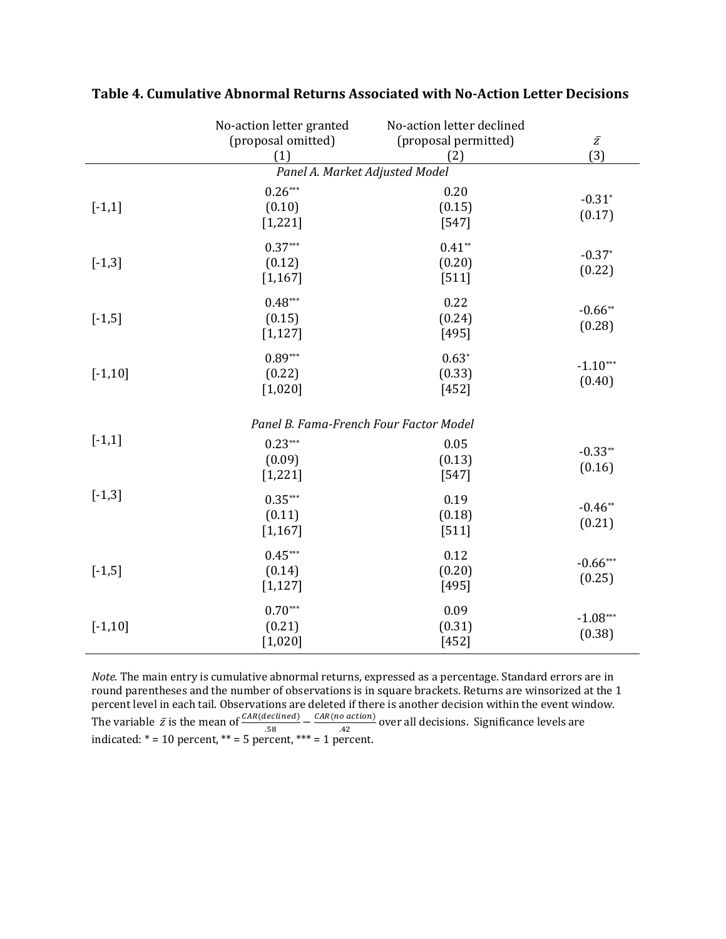|            | No-action letter granted<br>(proposal omitted)<br>(1) | No-action letter declined<br>(proposal permitted)<br>(2) | $\bar{Z}$<br>(3)     |
|------------|-------------------------------------------------------|----------------------------------------------------------|----------------------|
|            | Panel A. Market Adjusted Model                        |                                                          |                      |
| $[-1,1]$   | $0.26***$<br>(0.10)<br>[1, 221]                       | 0.20<br>(0.15)<br>$[547]$                                | $-0.31*$<br>(0.17)   |
| $[-1,3]$   | $0.37***$<br>(0.12)<br>[1, 167]                       | $0.41**$<br>(0.20)<br>$[511]$                            | $-0.37*$<br>(0.22)   |
| $[-1,5]$   | $0.48***$<br>(0.15)<br>[1, 127]                       | 0.22<br>(0.24)<br>$[495]$                                | $-0.66**$<br>(0.28)  |
| $[-1, 10]$ | $0.89***$<br>(0.22)<br>$[1,020]$                      | $0.63*$<br>(0.33)<br>$[452]$                             | $-1.10***$<br>(0.40) |
|            | Panel B. Fama-French Four Factor Model                |                                                          |                      |
| $[-1,1]$   | $0.23***$<br>(0.09)<br>[1, 221]                       | 0.05<br>(0.13)<br>$[547]$                                | $-0.33**$<br>(0.16)  |
| $[-1,3]$   | $0.35***$<br>(0.11)<br>[1, 167]                       | 0.19<br>(0.18)<br>$[511]$                                | $-0.46**$<br>(0.21)  |
| $[-1,5]$   | $0.45***$<br>(0.14)<br>[1, 127]                       | 0.12<br>(0.20)<br>[495]                                  | $-0.66***$<br>(0.25) |
| $[-1, 10]$ | $0.70***$<br>(0.21)<br>$[1,020]$                      | 0.09<br>(0.31)<br>$[452]$                                | $-1.08***$<br>(0.38) |

**Table 4. Cumulative Abnormal Returns Associated with No‐Action Letter Decisions**

Note. The main entry is cumulative abnormal returns, expressed as a percentage. Standard errors are in round parentheses and the number of observations is in square brackets. Returns are winsorized at the 1 percent level in each tail. Observations are deleted if there is another decision within the event window. The variable  $\bar{z}$  is the mean of  $\frac{CAR(declined)}{.58} - \frac{CAR(no\, action)}{.42}$  over all decisions. Significance levels are indicated:  $* = 10$  percent,  $** = 5$  percent,  $*** = 1$  percent.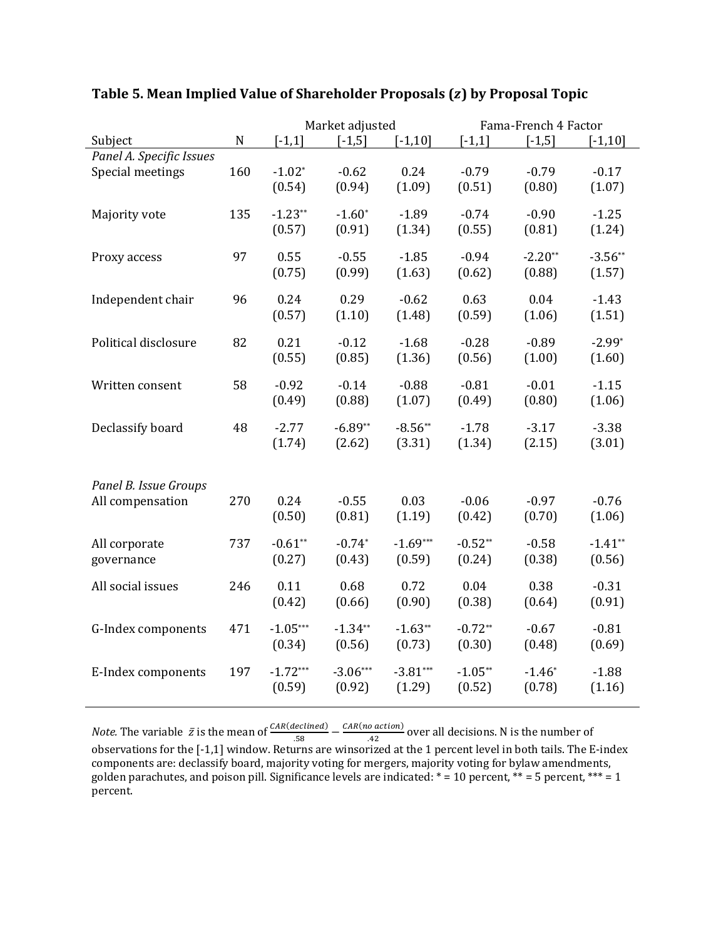|                          |             |            | Market adjusted |            |           | Fama-French 4 Factor |            |
|--------------------------|-------------|------------|-----------------|------------|-----------|----------------------|------------|
| Subject                  | $\mathbf N$ | $[-1,1]$   | $[-1,5]$        | $[-1, 10]$ | $[-1,1]$  | $[-1, 5]$            | $[-1, 10]$ |
| Panel A. Specific Issues |             |            |                 |            |           |                      |            |
| Special meetings         | 160         | $-1.02*$   | $-0.62$         | 0.24       | $-0.79$   | $-0.79$              | $-0.17$    |
|                          |             | (0.54)     | (0.94)          | (1.09)     | (0.51)    | (0.80)               | (1.07)     |
|                          |             |            |                 |            |           |                      |            |
| Majority vote            | 135         | $-1.23**$  | $-1.60*$        | $-1.89$    | $-0.74$   | $-0.90$              | $-1.25$    |
|                          |             | (0.57)     | (0.91)          | (1.34)     | (0.55)    | (0.81)               | (1.24)     |
|                          |             |            |                 |            |           |                      |            |
| Proxy access             | 97          | 0.55       | $-0.55$         | $-1.85$    | $-0.94$   | $-2.20**$            | $-3.56**$  |
|                          |             | (0.75)     | (0.99)          | (1.63)     | (0.62)    | (0.88)               |            |
|                          |             |            |                 |            |           |                      | (1.57)     |
| Independent chair        | 96          | 0.24       | 0.29            | $-0.62$    | 0.63      | 0.04                 | $-1.43$    |
|                          |             |            |                 |            |           |                      |            |
|                          |             | (0.57)     | (1.10)          | (1.48)     | (0.59)    | (1.06)               | (1.51)     |
| Political disclosure     | 82          | 0.21       | $-0.12$         | $-1.68$    | $-0.28$   | $-0.89$              | $-2.99*$   |
|                          |             |            |                 |            |           |                      |            |
|                          |             | (0.55)     | (0.85)          | (1.36)     | (0.56)    | (1.00)               | (1.60)     |
|                          |             |            |                 |            |           |                      |            |
| Written consent          | 58          | $-0.92$    | $-0.14$         | $-0.88$    | $-0.81$   | $-0.01$              | $-1.15$    |
|                          |             | (0.49)     | (0.88)          | (1.07)     | (0.49)    | (0.80)               | (1.06)     |
|                          |             |            |                 |            |           |                      |            |
| Declassify board         | 48          | $-2.77$    | $-6.89**$       | $-8.56**$  | $-1.78$   | $-3.17$              | $-3.38$    |
|                          |             | (1.74)     | (2.62)          | (3.31)     | (1.34)    | (2.15)               | (3.01)     |
|                          |             |            |                 |            |           |                      |            |
|                          |             |            |                 |            |           |                      |            |
| Panel B. Issue Groups    |             |            |                 |            |           |                      |            |
| All compensation         | 270         | 0.24       | $-0.55$         | 0.03       | $-0.06$   | $-0.97$              | $-0.76$    |
|                          |             | (0.50)     | (0.81)          | (1.19)     | (0.42)    | (0.70)               | (1.06)     |
|                          |             |            |                 |            |           |                      |            |
| All corporate            | 737         | $-0.61**$  | $-0.74*$        | $-1.69***$ | $-0.52**$ | $-0.58$              | $-1.41**$  |
| governance               |             | (0.27)     | (0.43)          | (0.59)     | (0.24)    | (0.38)               | (0.56)     |
|                          |             |            |                 |            |           |                      |            |
| All social issues        | 246         | 0.11       | 0.68            | 0.72       | 0.04      | 0.38                 | $-0.31$    |
|                          |             | (0.42)     | (0.66)          | (0.90)     | (0.38)    | (0.64)               | (0.91)     |
|                          |             |            |                 |            |           |                      |            |
| G-Index components       | 471         | $-1.05***$ | $-1.34**$       | $-1.63**$  | $-0.72**$ | $-0.67$              | $-0.81$    |
|                          |             | (0.34)     | (0.56)          | (0.73)     | (0.30)    | (0.48)               | (0.69)     |
|                          |             |            |                 |            |           |                      |            |
| E-Index components       | 197         | $-1.72***$ | $-3.06***$      | $-3.81***$ | $-1.05**$ | $-1.46*$             | $-1.88$    |
|                          |             | (0.59)     | (0.92)          | (1.29)     | (0.52)    | (0.78)               | (1.16)     |
|                          |             |            |                 |            |           |                      |            |

## **Table 5. Mean Implied Value of Shareholder Proposals (**ࢠ **(by Proposal Topic**

*Note.* The variable  $\bar{z}$  is the mean of  $\frac{CAR(declined)}{.58} - \frac{CAR(no\, action)}{.42}$  over all decisions. N is the number of observations for the [-1,1] window. Returns are winsorized at the 1 percent level in both tails. The E-index components are: declassify board, majority voting for mergers, majority voting for bylaw amendments, golden parachutes, and poison pill. Significance levels are indicated:  $* = 10$  percent,  $** = 5$  percent,  $*** = 1$ percent.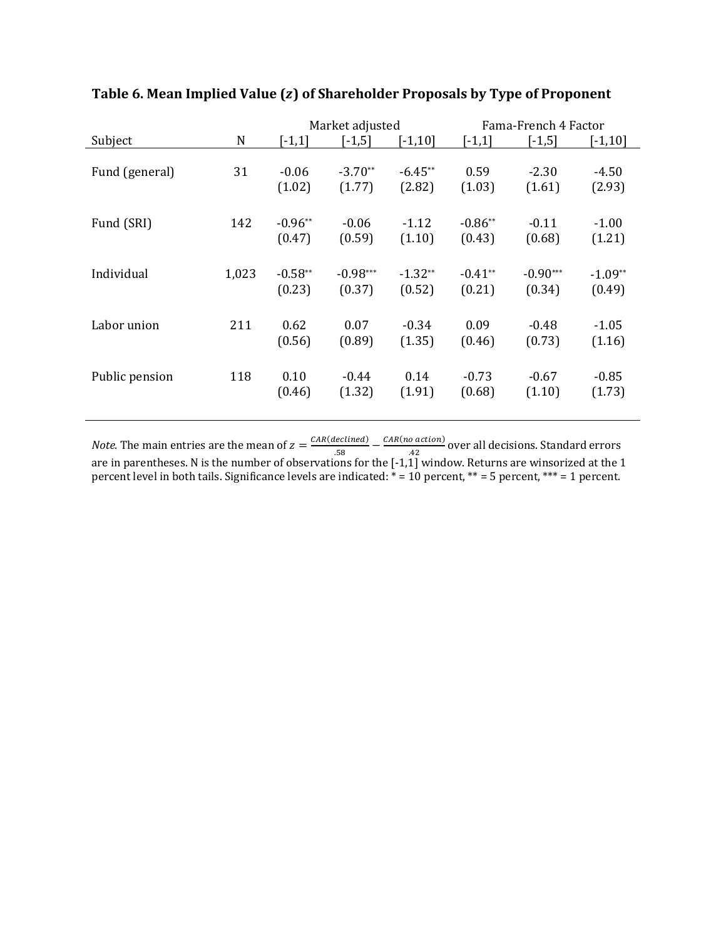|                               |             | Market adjusted                  |                                     | Fama-French 4 Factor                |                                     |                                        |                                        |
|-------------------------------|-------------|----------------------------------|-------------------------------------|-------------------------------------|-------------------------------------|----------------------------------------|----------------------------------------|
| Subject                       | $\mathbf N$ | $[-1,1]$                         | $[-1,5]$                            | $[-1, 10]$                          | $[-1,1]$                            | $[-1,5]$                               | $[-1, 10]$                             |
|                               |             |                                  |                                     |                                     |                                     |                                        |                                        |
| Fund (general)                | 31          | $-0.06$                          | $-3.70**$                           | $-6.45**$                           | 0.59                                | $-2.30$                                | $-4.50$                                |
|                               |             | (1.02)                           | (1.77)                              | (2.82)                              | (1.03)                              | (1.61)                                 | (2.93)                                 |
|                               |             |                                  |                                     |                                     |                                     |                                        |                                        |
| Fund (SRI)                    | 142         | $-0.96**$                        | $-0.06$                             | $-1.12$                             | $-0.86**$                           | $-0.11$                                | $-1.00$                                |
|                               |             | (0.47)                           | (0.59)                              | (1.10)                              | (0.43)                              | (0.68)                                 | (1.21)                                 |
|                               |             |                                  |                                     |                                     |                                     |                                        |                                        |
| Individual                    | 1,023       | $-0.58**$                        | $-0.98***$                          | $-1.32**$                           | $-0.41**$                           | $-0.90***$                             | $-1.09**$                              |
|                               |             | (0.23)                           | (0.37)                              | (0.52)                              | (0.21)                              | (0.34)                                 | (0.49)                                 |
|                               |             |                                  |                                     |                                     |                                     |                                        |                                        |
|                               |             |                                  |                                     |                                     |                                     |                                        |                                        |
|                               |             |                                  |                                     |                                     |                                     |                                        |                                        |
|                               |             |                                  |                                     |                                     |                                     |                                        |                                        |
|                               |             |                                  |                                     |                                     |                                     |                                        |                                        |
|                               |             |                                  |                                     |                                     |                                     |                                        |                                        |
|                               |             |                                  |                                     |                                     |                                     |                                        |                                        |
| Labor union<br>Public pension | 211<br>118  | 0.62<br>(0.56)<br>0.10<br>(0.46) | 0.07<br>(0.89)<br>$-0.44$<br>(1.32) | $-0.34$<br>(1.35)<br>0.14<br>(1.91) | 0.09<br>(0.46)<br>$-0.73$<br>(0.68) | $-0.48$<br>(0.73)<br>$-0.67$<br>(1.10) | $-1.05$<br>(1.16)<br>$-0.85$<br>(1.73) |

## **Table 6. Mean Implied Value (**ࢠ **(of Shareholder Proposals by Type of Proponent**

*Note.* The main entries are the mean of  $z = \frac{CAR(declined)}{.58} - \frac{CAR(no\, action)}{.42}$  over all decisions. Standard errors are in parentheses. N is the number of observations for the  $[-1,1]$  window. Returns are winsorized at the  $1$ percent level in both tails. Significance levels are indicated:  $* = 10$  percent,  $** = 5$  percent,  $*** = 1$  percent.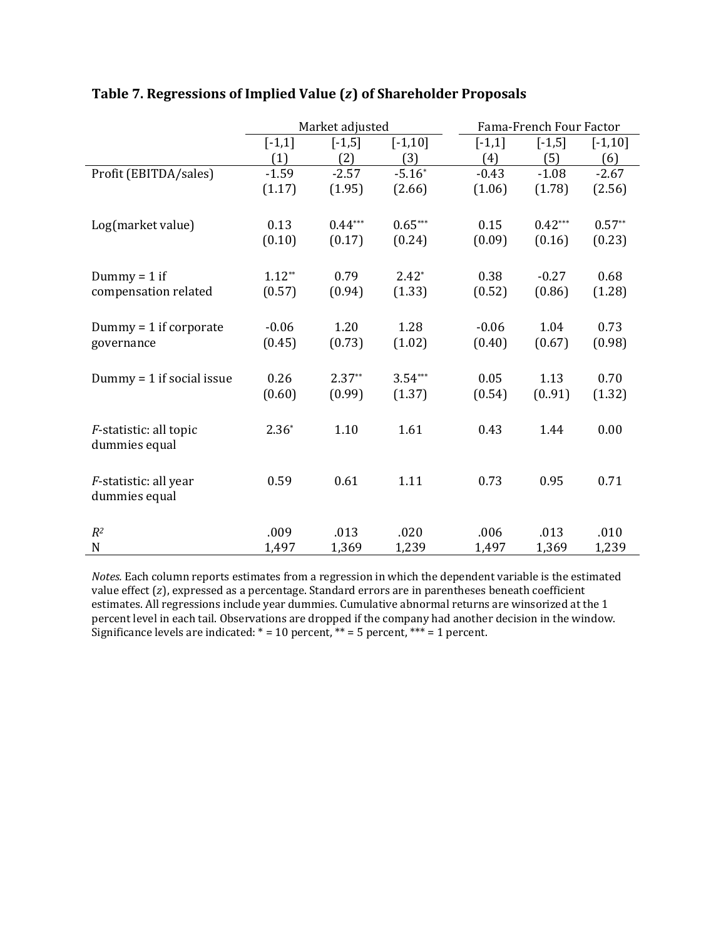|                                |          | Market adjusted |            |          | Fama-French Four Factor |            |
|--------------------------------|----------|-----------------|------------|----------|-------------------------|------------|
|                                | $[-1,1]$ | $[-1,5]$        | $[-1, 10]$ | $[-1,1]$ | $[-1,5]$                | $[-1, 10]$ |
|                                | (1)      | (2)             | (3)        | (4)      | (5)                     | (6)        |
| Profit (EBITDA/sales)          | $-1.59$  | $-2.57$         | $-5.16*$   | $-0.43$  | $-1.08$                 | $-2.67$    |
|                                | (1.17)   | (1.95)          | (2.66)     | (1.06)   | (1.78)                  | (2.56)     |
|                                |          |                 |            |          |                         |            |
| Log(market value)              | 0.13     | $0.44***$       | $0.65***$  | 0.15     | $0.42***$               | $0.57**$   |
|                                | (0.10)   | (0.17)          | (0.24)     | (0.09)   | (0.16)                  | (0.23)     |
|                                |          |                 |            |          |                         |            |
| Dummy = $1$ if                 | $1.12**$ | 0.79            | $2.42*$    | 0.38     | $-0.27$                 | 0.68       |
| compensation related           | (0.57)   | (0.94)          | (1.33)     | (0.52)   | (0.86)                  | (1.28)     |
|                                |          |                 |            |          |                         |            |
|                                |          |                 |            |          | 1.04                    |            |
| $Dummy = 1$ if corporate       | $-0.06$  | 1.20            | 1.28       | $-0.06$  |                         | 0.73       |
| governance                     | (0.45)   | (0.73)          | (1.02)     | (0.40)   | (0.67)                  | (0.98)     |
|                                |          |                 |            |          |                         |            |
| Dummy = $1$ if social issue    | 0.26     | $2.37**$        | $3.54***$  | 0.05     | 1.13                    | 0.70       |
|                                | (0.60)   | (0.99)          | (1.37)     | (0.54)   | (0.91)                  | (1.32)     |
|                                |          |                 |            |          |                         |            |
| <i>F</i> -statistic: all topic | $2.36*$  | 1.10            | 1.61       | 0.43     | 1.44                    | 0.00       |
| dummies equal                  |          |                 |            |          |                         |            |
|                                |          |                 |            |          |                         |            |
| F-statistic: all year          | 0.59     | 0.61            | 1.11       | 0.73     | 0.95                    | 0.71       |
| dummies equal                  |          |                 |            |          |                         |            |
|                                |          |                 |            |          |                         |            |
| $R^2$                          | .009     | .013            | .020       | .006     | .013                    | .010       |
| $\mathbf N$                    | 1,497    | 1,369           | 1,239      | 1,497    | 1,369                   | 1,239      |

## **Table 7. Regressions of Implied Value (**ࢠ **(of Shareholder Proposals**

*Notes*. Each column reports estimates from a regression in which the dependent variable is the estimated value effect  $(z)$ , expressed as a percentage. Standard errors are in parentheses beneath coefficient estimates. All regressions include year dummies. Cumulative abnormal returns are winsorized at the 1 percent level in each tail. Observations are dropped if the company had another decision in the window. Significance levels are indicated:  $* = 10$  percent,  $** = 5$  percent,  $*** = 1$  percent.